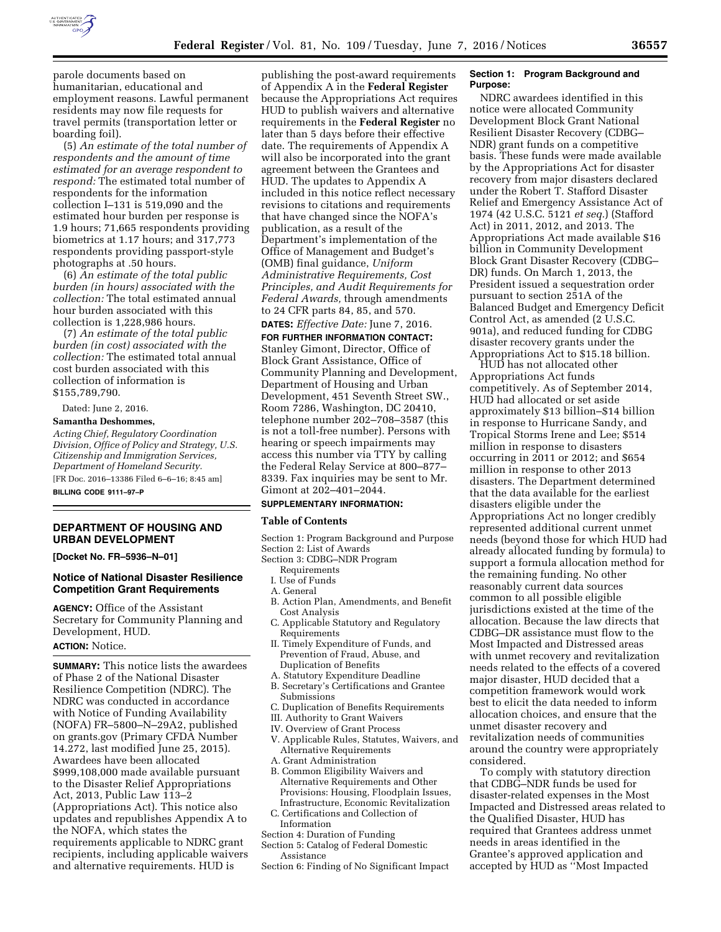

parole documents based on humanitarian, educational and employment reasons. Lawful permanent residents may now file requests for travel permits (transportation letter or boarding foil).

(5) *An estimate of the total number of respondents and the amount of time estimated for an average respondent to respond:* The estimated total number of respondents for the information collection I–131 is 519,090 and the estimated hour burden per response is 1.9 hours; 71,665 respondents providing biometrics at 1.17 hours; and 317,773 respondents providing passport-style photographs at .50 hours.

(6) *An estimate of the total public burden (in hours) associated with the collection:* The total estimated annual hour burden associated with this collection is 1,228,986 hours.

(7) *An estimate of the total public burden (in cost) associated with the collection:* The estimated total annual cost burden associated with this collection of information is \$155,789,790.

Dated: June 2, 2016.

#### **Samantha Deshommes,**

*Acting Chief, Regulatory Coordination Division, Office of Policy and Strategy, U.S. Citizenship and Immigration Services, Department of Homeland Security.*  [FR Doc. 2016–13386 Filed 6–6–16; 8:45 am]

**BILLING CODE 9111–97–P** 

### **DEPARTMENT OF HOUSING AND URBAN DEVELOPMENT**

**[Docket No. FR–5936–N–01]** 

# **Notice of National Disaster Resilience Competition Grant Requirements**

**AGENCY:** Office of the Assistant Secretary for Community Planning and Development, HUD.

# **ACTION:** Notice.

**SUMMARY:** This notice lists the awardees of Phase 2 of the National Disaster Resilience Competition (NDRC). The NDRC was conducted in accordance with Notice of Funding Availability (NOFA) FR–5800–N–29A2, published on grants.gov (Primary CFDA Number 14.272, last modified June 25, 2015). Awardees have been allocated \$999,108,000 made available pursuant to the Disaster Relief Appropriations Act, 2013, Public Law 113–2 (Appropriations Act). This notice also updates and republishes Appendix A to the NOFA, which states the requirements applicable to NDRC grant recipients, including applicable waivers and alternative requirements. HUD is

publishing the post-award requirements of Appendix A in the **Federal Register**  because the Appropriations Act requires HUD to publish waivers and alternative requirements in the **Federal Register** no later than 5 days before their effective date. The requirements of Appendix A will also be incorporated into the grant agreement between the Grantees and HUD. The updates to Appendix A included in this notice reflect necessary revisions to citations and requirements that have changed since the NOFA's publication, as a result of the Department's implementation of the Office of Management and Budget's (OMB) final guidance, *Uniform Administrative Requirements, Cost Principles, and Audit Requirements for Federal Awards,* through amendments to 24 CFR parts 84, 85, and 570.

**DATES:** *Effective Date:* June 7, 2016. **FOR FURTHER INFORMATION CONTACT:**  Stanley Gimont, Director, Office of Block Grant Assistance, Office of Community Planning and Development, Department of Housing and Urban Development, 451 Seventh Street SW., Room 7286, Washington, DC 20410, telephone number 202–708–3587 (this is not a toll-free number). Persons with hearing or speech impairments may access this number via TTY by calling the Federal Relay Service at 800–877– 8339. Fax inquiries may be sent to Mr. Gimont at 202–401–2044.

## **SUPPLEMENTARY INFORMATION:**

#### **Table of Contents**

- Section 1: Program Background and Purpose
- Section 2: List of Awards
- Section 3: CDBG–NDR Program
	- Requirements
	- I. Use of Funds
- A. General
- B. Action Plan, Amendments, and Benefit Cost Analysis
- C. Applicable Statutory and Regulatory Requirements
- II. Timely Expenditure of Funds, and Prevention of Fraud, Abuse, and Duplication of Benefits
- A. Statutory Expenditure Deadline B. Secretary's Certifications and Grantee
- Submissions
- C. Duplication of Benefits Requirements
- III. Authority to Grant Waivers
- IV. Overview of Grant Process
- V. Applicable Rules, Statutes, Waivers, and Alternative Requirements
- A. Grant Administration
- B. Common Eligibility Waivers and Alternative Requirements and Other Provisions: Housing, Floodplain Issues, Infrastructure, Economic Revitalization
- C. Certifications and Collection of Information
- Section 4: Duration of Funding
- Section 5: Catalog of Federal Domestic Assistance
- Section 6: Finding of No Significant Impact

### **Section 1: Program Background and Purpose:**

NDRC awardees identified in this notice were allocated Community Development Block Grant National Resilient Disaster Recovery (CDBG– NDR) grant funds on a competitive basis. These funds were made available by the Appropriations Act for disaster recovery from major disasters declared under the Robert T. Stafford Disaster Relief and Emergency Assistance Act of 1974 (42 U.S.C. 5121 *et seq.*) (Stafford Act) in 2011, 2012, and 2013. The Appropriations Act made available \$16 billion in Community Development Block Grant Disaster Recovery (CDBG– DR) funds. On March 1, 2013, the President issued a sequestration order pursuant to section 251A of the Balanced Budget and Emergency Deficit Control Act, as amended (2 U.S.C. 901a), and reduced funding for CDBG disaster recovery grants under the Appropriations Act to \$15.18 billion.

HUD has not allocated other Appropriations Act funds competitively. As of September 2014, HUD had allocated or set aside approximately \$13 billion–\$14 billion in response to Hurricane Sandy, and Tropical Storms Irene and Lee; \$514 million in response to disasters occurring in 2011 or 2012; and \$654 million in response to other 2013 disasters. The Department determined that the data available for the earliest disasters eligible under the Appropriations Act no longer credibly represented additional current unmet needs (beyond those for which HUD had already allocated funding by formula) to support a formula allocation method for the remaining funding. No other reasonably current data sources common to all possible eligible jurisdictions existed at the time of the allocation. Because the law directs that CDBG–DR assistance must flow to the Most Impacted and Distressed areas with unmet recovery and revitalization needs related to the effects of a covered major disaster, HUD decided that a competition framework would work best to elicit the data needed to inform allocation choices, and ensure that the unmet disaster recovery and revitalization needs of communities around the country were appropriately considered.

To comply with statutory direction that CDBG–NDR funds be used for disaster-related expenses in the Most Impacted and Distressed areas related to the Qualified Disaster, HUD has required that Grantees address unmet needs in areas identified in the Grantee's approved application and accepted by HUD as ''Most Impacted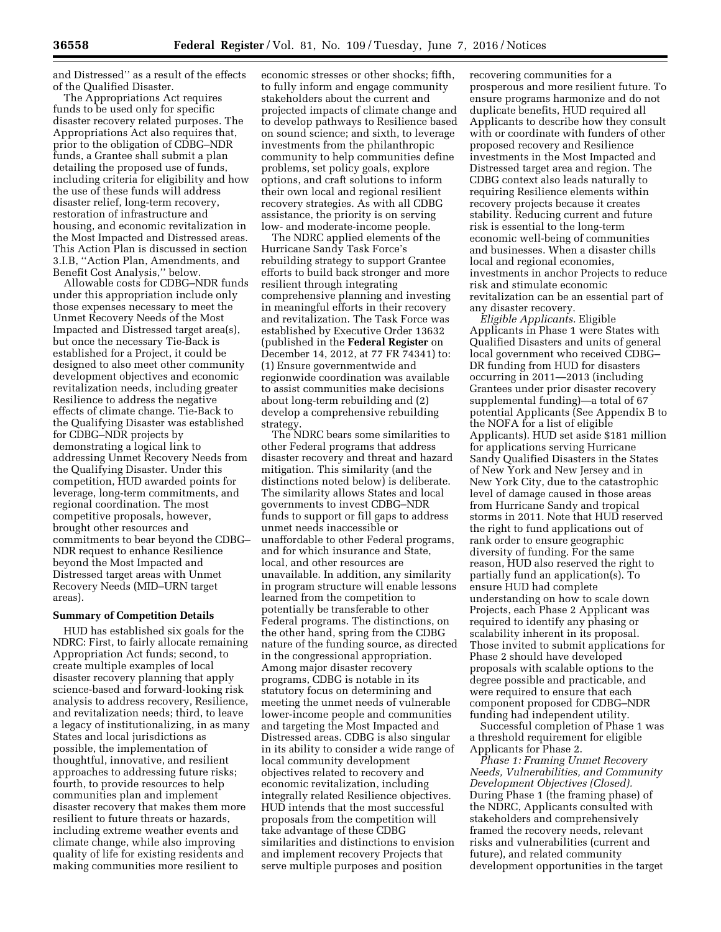and Distressed'' as a result of the effects of the Qualified Disaster.

The Appropriations Act requires funds to be used only for specific disaster recovery related purposes. The Appropriations Act also requires that, prior to the obligation of CDBG–NDR funds, a Grantee shall submit a plan detailing the proposed use of funds, including criteria for eligibility and how the use of these funds will address disaster relief, long-term recovery, restoration of infrastructure and housing, and economic revitalization in the Most Impacted and Distressed areas. This Action Plan is discussed in section 3.I.B, ''Action Plan, Amendments, and Benefit Cost Analysis,'' below.

Allowable costs for CDBG–NDR funds under this appropriation include only those expenses necessary to meet the Unmet Recovery Needs of the Most Impacted and Distressed target area(s), but once the necessary Tie-Back is established for a Project, it could be designed to also meet other community development objectives and economic revitalization needs, including greater Resilience to address the negative effects of climate change. Tie-Back to the Qualifying Disaster was established for CDBG–NDR projects by demonstrating a logical link to addressing Unmet Recovery Needs from the Qualifying Disaster. Under this competition, HUD awarded points for leverage, long-term commitments, and regional coordination. The most competitive proposals, however, brought other resources and commitments to bear beyond the CDBG– NDR request to enhance Resilience beyond the Most Impacted and Distressed target areas with Unmet Recovery Needs (MID–URN target areas).

### **Summary of Competition Details**

HUD has established six goals for the NDRC: First, to fairly allocate remaining Appropriation Act funds; second, to create multiple examples of local disaster recovery planning that apply science-based and forward-looking risk analysis to address recovery, Resilience, and revitalization needs; third, to leave a legacy of institutionalizing, in as many States and local jurisdictions as possible, the implementation of thoughtful, innovative, and resilient approaches to addressing future risks; fourth, to provide resources to help communities plan and implement disaster recovery that makes them more resilient to future threats or hazards, including extreme weather events and climate change, while also improving quality of life for existing residents and making communities more resilient to

economic stresses or other shocks; fifth, to fully inform and engage community stakeholders about the current and projected impacts of climate change and to develop pathways to Resilience based on sound science; and sixth, to leverage investments from the philanthropic community to help communities define problems, set policy goals, explore options, and craft solutions to inform their own local and regional resilient recovery strategies. As with all CDBG assistance, the priority is on serving low- and moderate-income people.

The NDRC applied elements of the Hurricane Sandy Task Force's rebuilding strategy to support Grantee efforts to build back stronger and more resilient through integrating comprehensive planning and investing in meaningful efforts in their recovery and revitalization. The Task Force was established by Executive Order 13632 (published in the **Federal Register** on December 14, 2012, at 77 FR 74341) to: (1) Ensure governmentwide and regionwide coordination was available to assist communities make decisions about long-term rebuilding and (2) develop a comprehensive rebuilding strategy.

The NDRC bears some similarities to other Federal programs that address disaster recovery and threat and hazard mitigation. This similarity (and the distinctions noted below) is deliberate. The similarity allows States and local governments to invest CDBG–NDR funds to support or fill gaps to address unmet needs inaccessible or unaffordable to other Federal programs, and for which insurance and State, local, and other resources are unavailable. In addition, any similarity in program structure will enable lessons learned from the competition to potentially be transferable to other Federal programs. The distinctions, on the other hand, spring from the CDBG nature of the funding source, as directed in the congressional appropriation. Among major disaster recovery programs, CDBG is notable in its statutory focus on determining and meeting the unmet needs of vulnerable lower-income people and communities and targeting the Most Impacted and Distressed areas. CDBG is also singular in its ability to consider a wide range of local community development objectives related to recovery and economic revitalization, including integrally related Resilience objectives. HUD intends that the most successful proposals from the competition will take advantage of these CDBG similarities and distinctions to envision and implement recovery Projects that serve multiple purposes and position

recovering communities for a prosperous and more resilient future. To ensure programs harmonize and do not duplicate benefits, HUD required all Applicants to describe how they consult with or coordinate with funders of other proposed recovery and Resilience investments in the Most Impacted and Distressed target area and region. The CDBG context also leads naturally to requiring Resilience elements within recovery projects because it creates stability. Reducing current and future risk is essential to the long-term economic well-being of communities and businesses. When a disaster chills local and regional economies, investments in anchor Projects to reduce risk and stimulate economic revitalization can be an essential part of any disaster recovery.

*Eligible Applicants.* Eligible Applicants in Phase 1 were States with Qualified Disasters and units of general local government who received CDBG– DR funding from HUD for disasters occurring in 2011—2013 (including Grantees under prior disaster recovery supplemental funding)—a total of 67 potential Applicants (See Appendix B to the NOFA for a list of eligible Applicants). HUD set aside \$181 million for applications serving Hurricane Sandy Qualified Disasters in the States of New York and New Jersey and in New York City, due to the catastrophic level of damage caused in those areas from Hurricane Sandy and tropical storms in 2011. Note that HUD reserved the right to fund applications out of rank order to ensure geographic diversity of funding. For the same reason, HUD also reserved the right to partially fund an application(s). To ensure HUD had complete understanding on how to scale down Projects, each Phase 2 Applicant was required to identify any phasing or scalability inherent in its proposal. Those invited to submit applications for Phase 2 should have developed proposals with scalable options to the degree possible and practicable, and were required to ensure that each component proposed for CDBG–NDR funding had independent utility.

Successful completion of Phase 1 was a threshold requirement for eligible Applicants for Phase 2.

*Phase 1: Framing Unmet Recovery Needs, Vulnerabilities, and Community Development Objectives (Closed).*  During Phase 1 (the framing phase) of the NDRC, Applicants consulted with stakeholders and comprehensively framed the recovery needs, relevant risks and vulnerabilities (current and future), and related community development opportunities in the target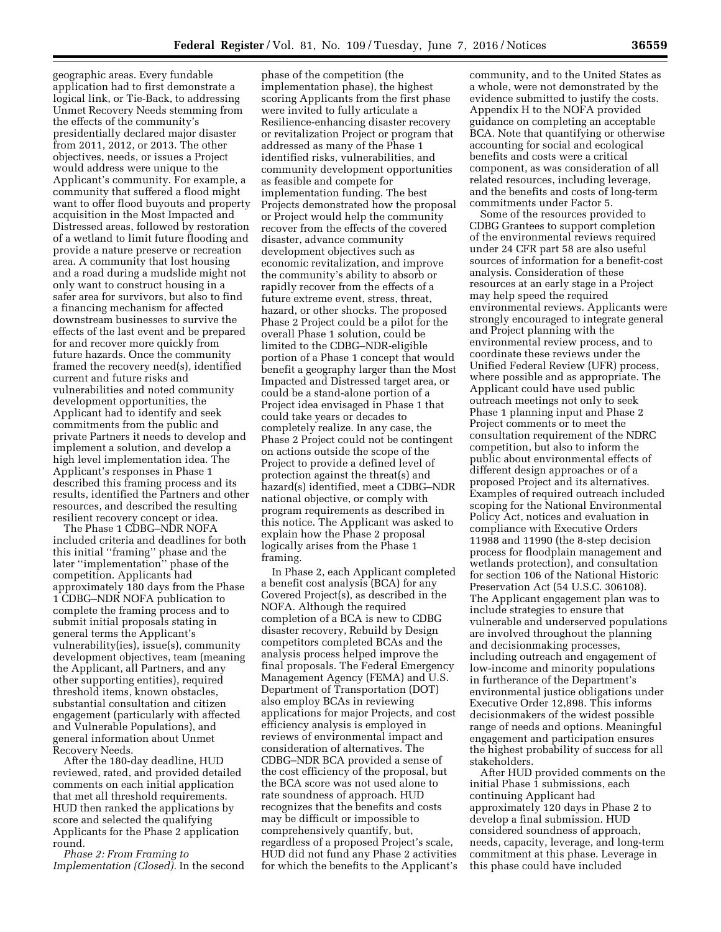geographic areas. Every fundable application had to first demonstrate a logical link, or Tie-Back, to addressing Unmet Recovery Needs stemming from the effects of the community's presidentially declared major disaster from 2011, 2012, or 2013. The other objectives, needs, or issues a Project would address were unique to the Applicant's community. For example, a community that suffered a flood might want to offer flood buyouts and property acquisition in the Most Impacted and Distressed areas, followed by restoration of a wetland to limit future flooding and provide a nature preserve or recreation area. A community that lost housing and a road during a mudslide might not only want to construct housing in a safer area for survivors, but also to find a financing mechanism for affected downstream businesses to survive the effects of the last event and be prepared for and recover more quickly from future hazards. Once the community framed the recovery need(s), identified current and future risks and vulnerabilities and noted community development opportunities, the Applicant had to identify and seek commitments from the public and private Partners it needs to develop and implement a solution, and develop a high level implementation idea. The Applicant's responses in Phase 1 described this framing process and its results, identified the Partners and other resources, and described the resulting resilient recovery concept or idea.

The Phase 1 CDBG–NDR NOFA included criteria and deadlines for both this initial ''framing'' phase and the later ''implementation'' phase of the competition. Applicants had approximately 180 days from the Phase 1 CDBG–NDR NOFA publication to complete the framing process and to submit initial proposals stating in general terms the Applicant's vulnerability(ies), issue(s), community development objectives, team (meaning the Applicant, all Partners, and any other supporting entities), required threshold items, known obstacles, substantial consultation and citizen engagement (particularly with affected and Vulnerable Populations), and general information about Unmet Recovery Needs.

After the 180-day deadline, HUD reviewed, rated, and provided detailed comments on each initial application that met all threshold requirements. HUD then ranked the applications by score and selected the qualifying Applicants for the Phase 2 application round.

*Phase 2: From Framing to Implementation (Closed).* In the second

phase of the competition (the implementation phase), the highest scoring Applicants from the first phase were invited to fully articulate a Resilience-enhancing disaster recovery or revitalization Project or program that addressed as many of the Phase 1 identified risks, vulnerabilities, and community development opportunities as feasible and compete for implementation funding. The best Projects demonstrated how the proposal or Project would help the community recover from the effects of the covered disaster, advance community development objectives such as economic revitalization, and improve the community's ability to absorb or rapidly recover from the effects of a future extreme event, stress, threat, hazard, or other shocks. The proposed Phase 2 Project could be a pilot for the overall Phase 1 solution, could be limited to the CDBG–NDR-eligible portion of a Phase 1 concept that would benefit a geography larger than the Most Impacted and Distressed target area, or could be a stand-alone portion of a Project idea envisaged in Phase 1 that could take years or decades to completely realize. In any case, the Phase 2 Project could not be contingent on actions outside the scope of the Project to provide a defined level of protection against the threat(s) and hazard(s) identified, meet a CDBG–NDR national objective, or comply with program requirements as described in this notice. The Applicant was asked to explain how the Phase 2 proposal logically arises from the Phase 1 framing.

In Phase 2, each Applicant completed a benefit cost analysis (BCA) for any Covered Project(s), as described in the NOFA. Although the required completion of a BCA is new to CDBG disaster recovery, Rebuild by Design competitors completed BCAs and the analysis process helped improve the final proposals. The Federal Emergency Management Agency (FEMA) and U.S. Department of Transportation (DOT) also employ BCAs in reviewing applications for major Projects, and cost efficiency analysis is employed in reviews of environmental impact and consideration of alternatives. The CDBG–NDR BCA provided a sense of the cost efficiency of the proposal, but the BCA score was not used alone to rate soundness of approach. HUD recognizes that the benefits and costs may be difficult or impossible to comprehensively quantify, but, regardless of a proposed Project's scale, HUD did not fund any Phase 2 activities for which the benefits to the Applicant's

community, and to the United States as a whole, were not demonstrated by the evidence submitted to justify the costs. Appendix H to the NOFA provided guidance on completing an acceptable BCA. Note that quantifying or otherwise accounting for social and ecological benefits and costs were a critical component, as was consideration of all related resources, including leverage, and the benefits and costs of long-term commitments under Factor 5.

Some of the resources provided to CDBG Grantees to support completion of the environmental reviews required under 24 CFR part 58 are also useful sources of information for a benefit-cost analysis. Consideration of these resources at an early stage in a Project may help speed the required environmental reviews. Applicants were strongly encouraged to integrate general and Project planning with the environmental review process, and to coordinate these reviews under the Unified Federal Review (UFR) process, where possible and as appropriate. The Applicant could have used public outreach meetings not only to seek Phase 1 planning input and Phase 2 Project comments or to meet the consultation requirement of the NDRC competition, but also to inform the public about environmental effects of different design approaches or of a proposed Project and its alternatives. Examples of required outreach included scoping for the National Environmental Policy Act, notices and evaluation in compliance with Executive Orders 11988 and 11990 (the 8-step decision process for floodplain management and wetlands protection), and consultation for section 106 of the National Historic Preservation Act (54 U.S.C. 306108). The Applicant engagement plan was to include strategies to ensure that vulnerable and underserved populations are involved throughout the planning and decisionmaking processes, including outreach and engagement of low-income and minority populations in furtherance of the Department's environmental justice obligations under Executive Order 12,898. This informs decisionmakers of the widest possible range of needs and options. Meaningful engagement and participation ensures the highest probability of success for all stakeholders.

After HUD provided comments on the initial Phase 1 submissions, each continuing Applicant had approximately 120 days in Phase 2 to develop a final submission. HUD considered soundness of approach, needs, capacity, leverage, and long-term commitment at this phase. Leverage in this phase could have included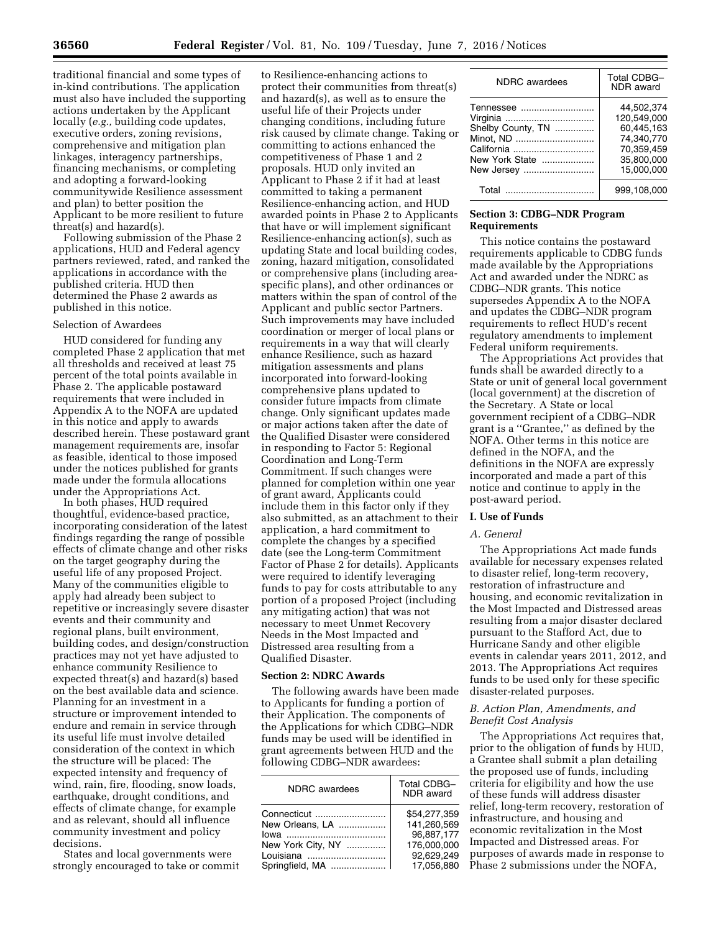traditional financial and some types of in-kind contributions. The application must also have included the supporting actions undertaken by the Applicant locally (*e.g.,* building code updates, executive orders, zoning revisions, comprehensive and mitigation plan linkages, interagency partnerships, financing mechanisms, or completing and adopting a forward-looking communitywide Resilience assessment and plan) to better position the Applicant to be more resilient to future threat(s) and hazard(s).

Following submission of the Phase 2 applications, HUD and Federal agency partners reviewed, rated, and ranked the applications in accordance with the published criteria. HUD then determined the Phase 2 awards as published in this notice.

#### Selection of Awardees

HUD considered for funding any completed Phase 2 application that met all thresholds and received at least 75 percent of the total points available in Phase 2. The applicable postaward requirements that were included in Appendix A to the NOFA are updated in this notice and apply to awards described herein. These postaward grant management requirements are, insofar as feasible, identical to those imposed under the notices published for grants made under the formula allocations under the Appropriations Act.

In both phases, HUD required thoughtful, evidence-based practice, incorporating consideration of the latest findings regarding the range of possible effects of climate change and other risks on the target geography during the useful life of any proposed Project. Many of the communities eligible to apply had already been subject to repetitive or increasingly severe disaster events and their community and regional plans, built environment, building codes, and design/construction practices may not yet have adjusted to enhance community Resilience to expected threat(s) and hazard(s) based on the best available data and science. Planning for an investment in a structure or improvement intended to endure and remain in service through its useful life must involve detailed consideration of the context in which the structure will be placed: The expected intensity and frequency of wind, rain, fire, flooding, snow loads, earthquake, drought conditions, and effects of climate change, for example and as relevant, should all influence community investment and policy decisions.

States and local governments were strongly encouraged to take or commit

to Resilience-enhancing actions to protect their communities from threat(s) and hazard(s), as well as to ensure the useful life of their Projects under changing conditions, including future risk caused by climate change. Taking or committing to actions enhanced the competitiveness of Phase 1 and 2 proposals. HUD only invited an Applicant to Phase 2 if it had at least committed to taking a permanent Resilience-enhancing action, and HUD awarded points in Phase 2 to Applicants that have or will implement significant Resilience-enhancing action(s), such as updating State and local building codes, zoning, hazard mitigation, consolidated or comprehensive plans (including areaspecific plans), and other ordinances or matters within the span of control of the Applicant and public sector Partners. Such improvements may have included coordination or merger of local plans or requirements in a way that will clearly enhance Resilience, such as hazard mitigation assessments and plans incorporated into forward-looking comprehensive plans updated to consider future impacts from climate change. Only significant updates made or major actions taken after the date of the Qualified Disaster were considered in responding to Factor 5: Regional Coordination and Long-Term Commitment. If such changes were planned for completion within one year of grant award, Applicants could include them in this factor only if they also submitted, as an attachment to their application, a hard commitment to complete the changes by a specified date (see the Long-term Commitment Factor of Phase 2 for details). Applicants were required to identify leveraging funds to pay for costs attributable to any portion of a proposed Project (including any mitigating action) that was not necessary to meet Unmet Recovery Needs in the Most Impacted and Distressed area resulting from a Qualified Disaster.

# **Section 2: NDRC Awards**

The following awards have been made to Applicants for funding a portion of their Application. The components of the Applications for which CDBG–NDR funds may be used will be identified in grant agreements between HUD and the following CDBG–NDR awardees:

| NDRC awardees     | <b>Total CDBG-</b><br><b>NDR</b> award |
|-------------------|----------------------------------------|
| Connecticut       | \$54,277,359                           |
| New Orleans. LA   | 141.260.569                            |
|                   | 96.887.177                             |
| New York City, NY | 176.000.000                            |
| Louisiana         | 92.629.249                             |
| Springfield, MA   | 17.056.880                             |

| <b>NDRC</b> awardees                                                                      | <b>Total CDBG-</b><br>NDR award                                                                 |
|-------------------------------------------------------------------------------------------|-------------------------------------------------------------------------------------------------|
| Tennessee<br>Shelby County, TN<br>Minot, ND<br>California<br>New York State<br>New Jersey | 44.502.374<br>120.549.000<br>60.445.163<br>74,340,770<br>70.359.459<br>35,800,000<br>15.000.000 |
| Total                                                                                     | 999.108.000                                                                                     |

## **Section 3: CDBG–NDR Program Requirements**

This notice contains the postaward requirements applicable to CDBG funds made available by the Appropriations Act and awarded under the NDRC as CDBG–NDR grants. This notice supersedes Appendix A to the NOFA and updates the CDBG–NDR program requirements to reflect HUD's recent regulatory amendments to implement Federal uniform requirements.

The Appropriations Act provides that funds shall be awarded directly to a State or unit of general local government (local government) at the discretion of the Secretary. A State or local government recipient of a CDBG–NDR grant is a ''Grantee,'' as defined by the NOFA. Other terms in this notice are defined in the NOFA, and the definitions in the NOFA are expressly incorporated and made a part of this notice and continue to apply in the post-award period.

# **I. Use of Funds**

## *A. General*

The Appropriations Act made funds available for necessary expenses related to disaster relief, long-term recovery, restoration of infrastructure and housing, and economic revitalization in the Most Impacted and Distressed areas resulting from a major disaster declared pursuant to the Stafford Act, due to Hurricane Sandy and other eligible events in calendar years 2011, 2012, and 2013. The Appropriations Act requires funds to be used only for these specific disaster-related purposes.

## *B. Action Plan, Amendments, and Benefit Cost Analysis*

The Appropriations Act requires that, prior to the obligation of funds by HUD, a Grantee shall submit a plan detailing the proposed use of funds, including criteria for eligibility and how the use of these funds will address disaster relief, long-term recovery, restoration of infrastructure, and housing and economic revitalization in the Most Impacted and Distressed areas. For purposes of awards made in response to Phase 2 submissions under the NOFA,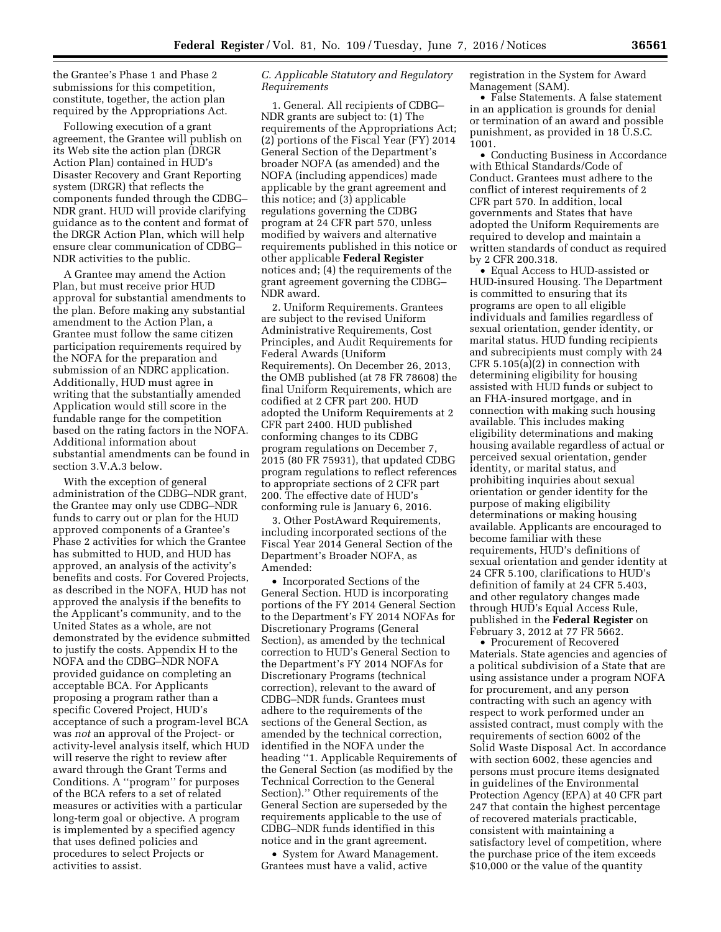the Grantee's Phase 1 and Phase 2 submissions for this competition, constitute, together, the action plan required by the Appropriations Act.

Following execution of a grant agreement, the Grantee will publish on its Web site the action plan (DRGR Action Plan) contained in HUD's Disaster Recovery and Grant Reporting system (DRGR) that reflects the components funded through the CDBG– NDR grant. HUD will provide clarifying guidance as to the content and format of the DRGR Action Plan, which will help ensure clear communication of CDBG– NDR activities to the public.

A Grantee may amend the Action Plan, but must receive prior HUD approval for substantial amendments to the plan. Before making any substantial amendment to the Action Plan, a Grantee must follow the same citizen participation requirements required by the NOFA for the preparation and submission of an NDRC application. Additionally, HUD must agree in writing that the substantially amended Application would still score in the fundable range for the competition based on the rating factors in the NOFA. Additional information about substantial amendments can be found in section 3.V.A.3 below.

With the exception of general administration of the CDBG–NDR grant, the Grantee may only use CDBG–NDR funds to carry out or plan for the HUD approved components of a Grantee's Phase 2 activities for which the Grantee has submitted to HUD, and HUD has approved, an analysis of the activity's benefits and costs. For Covered Projects, as described in the NOFA, HUD has not approved the analysis if the benefits to the Applicant's community, and to the United States as a whole, are not demonstrated by the evidence submitted to justify the costs. Appendix H to the NOFA and the CDBG–NDR NOFA provided guidance on completing an acceptable BCA. For Applicants proposing a program rather than a specific Covered Project, HUD's acceptance of such a program-level BCA was *not* an approval of the Project- or activity-level analysis itself, which HUD will reserve the right to review after award through the Grant Terms and Conditions. A ''program'' for purposes of the BCA refers to a set of related measures or activities with a particular long-term goal or objective. A program is implemented by a specified agency that uses defined policies and procedures to select Projects or activities to assist.

# *C. Applicable Statutory and Regulatory Requirements*

1. General. All recipients of CDBG– NDR grants are subject to: (1) The requirements of the Appropriations Act; (2) portions of the Fiscal Year (FY) 2014 General Section of the Department's broader NOFA (as amended) and the NOFA (including appendices) made applicable by the grant agreement and this notice; and (3) applicable regulations governing the CDBG program at 24 CFR part 570, unless modified by waivers and alternative requirements published in this notice or other applicable **Federal Register**  notices and; (4) the requirements of the grant agreement governing the CDBG– NDR award.

2. Uniform Requirements. Grantees are subject to the revised Uniform Administrative Requirements, Cost Principles, and Audit Requirements for Federal Awards (Uniform Requirements). On December 26, 2013, the OMB published (at 78 FR 78608) the final Uniform Requirements, which are codified at 2 CFR part 200. HUD adopted the Uniform Requirements at 2 CFR part 2400. HUD published conforming changes to its CDBG program regulations on December 7, 2015 (80 FR 75931), that updated CDBG program regulations to reflect references to appropriate sections of 2 CFR part 200. The effective date of HUD's conforming rule is January 6, 2016.

3. Other PostAward Requirements, including incorporated sections of the Fiscal Year 2014 General Section of the Department's Broader NOFA, as Amended:

• Incorporated Sections of the General Section. HUD is incorporating portions of the FY 2014 General Section to the Department's FY 2014 NOFAs for Discretionary Programs (General Section), as amended by the technical correction to HUD's General Section to the Department's FY 2014 NOFAs for Discretionary Programs (technical correction), relevant to the award of CDBG–NDR funds. Grantees must adhere to the requirements of the sections of the General Section, as amended by the technical correction, identified in the NOFA under the heading ''1. Applicable Requirements of the General Section (as modified by the Technical Correction to the General Section).'' Other requirements of the General Section are superseded by the requirements applicable to the use of CDBG–NDR funds identified in this notice and in the grant agreement.

• System for Award Management. Grantees must have a valid, active

registration in the System for Award Management (SAM).

• False Statements. A false statement in an application is grounds for denial or termination of an award and possible punishment, as provided in 18 U.S.C. 1001.

• Conducting Business in Accordance with Ethical Standards/Code of Conduct. Grantees must adhere to the conflict of interest requirements of 2 CFR part 570. In addition, local governments and States that have adopted the Uniform Requirements are required to develop and maintain a written standards of conduct as required by 2 CFR 200.318.

• Equal Access to HUD-assisted or HUD-insured Housing. The Department is committed to ensuring that its programs are open to all eligible individuals and families regardless of sexual orientation, gender identity, or marital status. HUD funding recipients and subrecipients must comply with 24 CFR 5.105(a)(2) in connection with determining eligibility for housing assisted with HUD funds or subject to an FHA-insured mortgage, and in connection with making such housing available. This includes making eligibility determinations and making housing available regardless of actual or perceived sexual orientation, gender identity, or marital status, and prohibiting inquiries about sexual orientation or gender identity for the purpose of making eligibility determinations or making housing available. Applicants are encouraged to become familiar with these requirements, HUD's definitions of sexual orientation and gender identity at 24 CFR 5.100, clarifications to HUD's definition of family at 24 CFR 5.403, and other regulatory changes made through HUD's Equal Access Rule, published in the **Federal Register** on February 3, 2012 at 77 FR 5662.

• Procurement of Recovered Materials. State agencies and agencies of a political subdivision of a State that are using assistance under a program NOFA for procurement, and any person contracting with such an agency with respect to work performed under an assisted contract, must comply with the requirements of section 6002 of the Solid Waste Disposal Act. In accordance with section 6002, these agencies and persons must procure items designated in guidelines of the Environmental Protection Agency (EPA) at 40 CFR part 247 that contain the highest percentage of recovered materials practicable, consistent with maintaining a satisfactory level of competition, where the purchase price of the item exceeds \$10,000 or the value of the quantity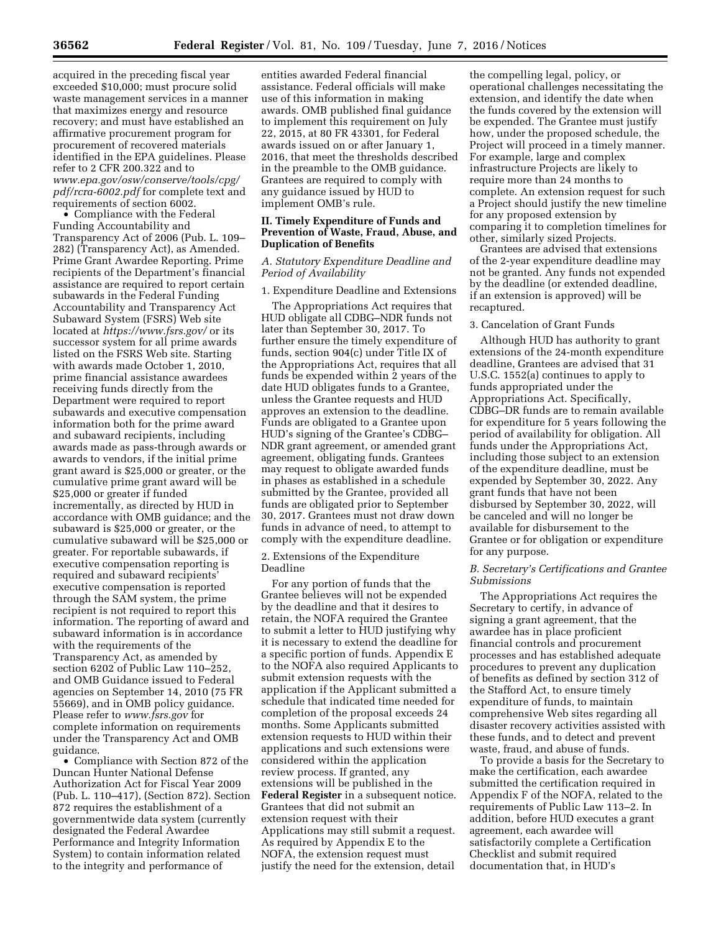acquired in the preceding fiscal year exceeded \$10,000; must procure solid waste management services in a manner that maximizes energy and resource recovery; and must have established an affirmative procurement program for procurement of recovered materials identified in the EPA guidelines. Please refer to 2 CFR 200.322 and to *[www.epa.gov/osw/conserve/tools/cpg/](http://www.epa.gov/osw/conserve/tools/cpg/pdf/rcra-6002.pdf) [pdf/rcra-6002.pdf](http://www.epa.gov/osw/conserve/tools/cpg/pdf/rcra-6002.pdf)* for complete text and requirements of section 6002.

• Compliance with the Federal Funding Accountability and Transparency Act of 2006 (Pub. L. 109– 282) (Transparency Act), as Amended. Prime Grant Awardee Reporting. Prime recipients of the Department's financial assistance are required to report certain subawards in the Federal Funding Accountability and Transparency Act Subaward System (FSRS) Web site located at *<https://www.fsrs.gov/>*or its successor system for all prime awards listed on the FSRS Web site. Starting with awards made October 1, 2010, prime financial assistance awardees receiving funds directly from the Department were required to report subawards and executive compensation information both for the prime award and subaward recipients, including awards made as pass-through awards or awards to vendors, if the initial prime grant award is \$25,000 or greater, or the cumulative prime grant award will be \$25,000 or greater if funded incrementally, as directed by HUD in accordance with OMB guidance; and the subaward is \$25,000 or greater, or the cumulative subaward will be \$25,000 or greater. For reportable subawards, if executive compensation reporting is required and subaward recipients' executive compensation is reported through the SAM system, the prime recipient is not required to report this information. The reporting of award and subaward information is in accordance with the requirements of the Transparency Act, as amended by section 6202 of Public Law 110–252, and OMB Guidance issued to Federal agencies on September 14, 2010 (75 FR 55669), and in OMB policy guidance. Please refer to *[www.fsrs.gov](http://www.fsrs.gov)* for complete information on requirements under the Transparency Act and OMB guidance.

• Compliance with Section 872 of the Duncan Hunter National Defense Authorization Act for Fiscal Year 2009 (Pub. L. 110–417), (Section 872). Section 872 requires the establishment of a governmentwide data system (currently designated the Federal Awardee Performance and Integrity Information System) to contain information related to the integrity and performance of

entities awarded Federal financial assistance. Federal officials will make use of this information in making awards. OMB published final guidance to implement this requirement on July 22, 2015, at 80 FR 43301, for Federal awards issued on or after January 1, 2016, that meet the thresholds described in the preamble to the OMB guidance. Grantees are required to comply with any guidance issued by HUD to implement OMB's rule.

# **II. Timely Expenditure of Funds and Prevention of Waste, Fraud, Abuse, and Duplication of Benefits**

# *A. Statutory Expenditure Deadline and Period of Availability*

## 1. Expenditure Deadline and Extensions

The Appropriations Act requires that HUD obligate all CDBG–NDR funds not later than September 30, 2017. To further ensure the timely expenditure of funds, section 904(c) under Title IX of the Appropriations Act, requires that all funds be expended within 2 years of the date HUD obligates funds to a Grantee, unless the Grantee requests and HUD approves an extension to the deadline. Funds are obligated to a Grantee upon HUD's signing of the Grantee's CDBG– NDR grant agreement, or amended grant agreement, obligating funds. Grantees may request to obligate awarded funds in phases as established in a schedule submitted by the Grantee, provided all funds are obligated prior to September 30, 2017. Grantees must not draw down funds in advance of need, to attempt to comply with the expenditure deadline.

2. Extensions of the Expenditure Deadline

For any portion of funds that the Grantee believes will not be expended by the deadline and that it desires to retain, the NOFA required the Grantee to submit a letter to HUD justifying why it is necessary to extend the deadline for a specific portion of funds. Appendix E to the NOFA also required Applicants to submit extension requests with the application if the Applicant submitted a schedule that indicated time needed for completion of the proposal exceeds 24 months. Some Applicants submitted extension requests to HUD within their applications and such extensions were considered within the application review process. If granted, any extensions will be published in the **Federal Register** in a subsequent notice. Grantees that did not submit an extension request with their Applications may still submit a request. As required by Appendix E to the NOFA, the extension request must justify the need for the extension, detail

the compelling legal, policy, or operational challenges necessitating the extension, and identify the date when the funds covered by the extension will be expended. The Grantee must justify how, under the proposed schedule, the Project will proceed in a timely manner. For example, large and complex infrastructure Projects are likely to require more than 24 months to complete. An extension request for such a Project should justify the new timeline for any proposed extension by comparing it to completion timelines for other, similarly sized Projects.

Grantees are advised that extensions of the 2-year expenditure deadline may not be granted. Any funds not expended by the deadline (or extended deadline, if an extension is approved) will be recaptured.

#### 3. Cancelation of Grant Funds

Although HUD has authority to grant extensions of the 24-month expenditure deadline, Grantees are advised that 31 U.S.C. 1552(a) continues to apply to funds appropriated under the Appropriations Act. Specifically, CDBG–DR funds are to remain available for expenditure for 5 years following the period of availability for obligation. All funds under the Appropriations Act, including those subject to an extension of the expenditure deadline, must be expended by September 30, 2022. Any grant funds that have not been disbursed by September 30, 2022, will be canceled and will no longer be available for disbursement to the Grantee or for obligation or expenditure for any purpose.

## *B. Secretary's Certifications and Grantee Submissions*

The Appropriations Act requires the Secretary to certify, in advance of signing a grant agreement, that the awardee has in place proficient financial controls and procurement processes and has established adequate procedures to prevent any duplication of benefits as defined by section 312 of the Stafford Act, to ensure timely expenditure of funds, to maintain comprehensive Web sites regarding all disaster recovery activities assisted with these funds, and to detect and prevent waste, fraud, and abuse of funds.

To provide a basis for the Secretary to make the certification, each awardee submitted the certification required in Appendix F of the NOFA, related to the requirements of Public Law 113–2. In addition, before HUD executes a grant agreement, each awardee will satisfactorily complete a Certification Checklist and submit required documentation that, in HUD's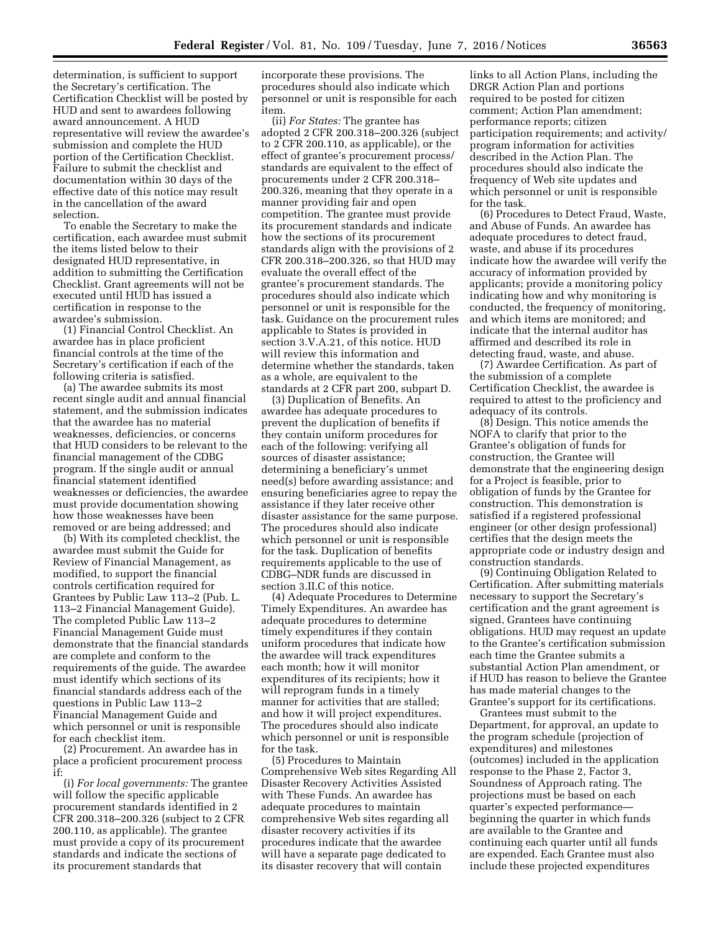determination, is sufficient to support the Secretary's certification. The Certification Checklist will be posted by HUD and sent to awardees following award announcement. A HUD representative will review the awardee's submission and complete the HUD portion of the Certification Checklist. Failure to submit the checklist and documentation within 30 days of the effective date of this notice may result in the cancellation of the award selection.

To enable the Secretary to make the certification, each awardee must submit the items listed below to their designated HUD representative, in addition to submitting the Certification Checklist. Grant agreements will not be executed until HUD has issued a certification in response to the awardee's submission.

(1) Financial Control Checklist. An awardee has in place proficient financial controls at the time of the Secretary's certification if each of the following criteria is satisfied.

(a) The awardee submits its most recent single audit and annual financial statement, and the submission indicates that the awardee has no material weaknesses, deficiencies, or concerns that HUD considers to be relevant to the financial management of the CDBG program. If the single audit or annual financial statement identified weaknesses or deficiencies, the awardee must provide documentation showing how those weaknesses have been removed or are being addressed; and

(b) With its completed checklist, the awardee must submit the Guide for Review of Financial Management, as modified, to support the financial controls certification required for Grantees by Public Law 113–2 (Pub. L. 113–2 Financial Management Guide). The completed Public Law 113–2 Financial Management Guide must demonstrate that the financial standards are complete and conform to the requirements of the guide. The awardee must identify which sections of its financial standards address each of the questions in Public Law 113–2 Financial Management Guide and which personnel or unit is responsible for each checklist item.

(2) Procurement. An awardee has in place a proficient procurement process if:

(i) *For local governments:* The grantee will follow the specific applicable procurement standards identified in 2 CFR 200.318–200.326 (subject to 2 CFR 200.110, as applicable). The grantee must provide a copy of its procurement standards and indicate the sections of its procurement standards that

incorporate these provisions. The procedures should also indicate which personnel or unit is responsible for each item.

(ii) *For States:* The grantee has adopted 2 CFR 200.318–200.326 (subject to 2 CFR 200.110, as applicable), or the effect of grantee's procurement process/ standards are equivalent to the effect of procurements under 2 CFR 200.318– 200.326, meaning that they operate in a manner providing fair and open competition. The grantee must provide its procurement standards and indicate how the sections of its procurement standards align with the provisions of 2 CFR 200.318–200.326, so that HUD may evaluate the overall effect of the grantee's procurement standards. The procedures should also indicate which personnel or unit is responsible for the task. Guidance on the procurement rules applicable to States is provided in section 3.V.A.21, of this notice. HUD will review this information and determine whether the standards, taken as a whole, are equivalent to the standards at 2 CFR part 200, subpart D.

(3) Duplication of Benefits. An awardee has adequate procedures to prevent the duplication of benefits if they contain uniform procedures for each of the following: verifying all sources of disaster assistance; determining a beneficiary's unmet need(s) before awarding assistance; and ensuring beneficiaries agree to repay the assistance if they later receive other disaster assistance for the same purpose. The procedures should also indicate which personnel or unit is responsible for the task. Duplication of benefits requirements applicable to the use of CDBG–NDR funds are discussed in section 3.II.C of this notice.

(4) Adequate Procedures to Determine Timely Expenditures. An awardee has adequate procedures to determine timely expenditures if they contain uniform procedures that indicate how the awardee will track expenditures each month; how it will monitor expenditures of its recipients; how it will reprogram funds in a timely manner for activities that are stalled; and how it will project expenditures. The procedures should also indicate which personnel or unit is responsible for the task.

(5) Procedures to Maintain Comprehensive Web sites Regarding All Disaster Recovery Activities Assisted with These Funds. An awardee has adequate procedures to maintain comprehensive Web sites regarding all disaster recovery activities if its procedures indicate that the awardee will have a separate page dedicated to its disaster recovery that will contain

links to all Action Plans, including the DRGR Action Plan and portions required to be posted for citizen comment; Action Plan amendment; performance reports; citizen participation requirements; and activity/ program information for activities described in the Action Plan. The procedures should also indicate the frequency of Web site updates and which personnel or unit is responsible for the task.

(6) Procedures to Detect Fraud, Waste, and Abuse of Funds. An awardee has adequate procedures to detect fraud, waste, and abuse if its procedures indicate how the awardee will verify the accuracy of information provided by applicants; provide a monitoring policy indicating how and why monitoring is conducted, the frequency of monitoring, and which items are monitored; and indicate that the internal auditor has affirmed and described its role in detecting fraud, waste, and abuse.

(7) Awardee Certification. As part of the submission of a complete Certification Checklist, the awardee is required to attest to the proficiency and adequacy of its controls.

(8) Design. This notice amends the NOFA to clarify that prior to the Grantee's obligation of funds for construction, the Grantee will demonstrate that the engineering design for a Project is feasible, prior to obligation of funds by the Grantee for construction. This demonstration is satisfied if a registered professional engineer (or other design professional) certifies that the design meets the appropriate code or industry design and construction standards.

(9) Continuing Obligation Related to Certification. After submitting materials necessary to support the Secretary's certification and the grant agreement is signed, Grantees have continuing obligations. HUD may request an update to the Grantee's certification submission each time the Grantee submits a substantial Action Plan amendment, or if HUD has reason to believe the Grantee has made material changes to the Grantee's support for its certifications.

Grantees must submit to the Department, for approval, an update to the program schedule (projection of expenditures) and milestones (outcomes) included in the application response to the Phase 2, Factor 3, Soundness of Approach rating. The projections must be based on each quarter's expected performance beginning the quarter in which funds are available to the Grantee and continuing each quarter until all funds are expended. Each Grantee must also include these projected expenditures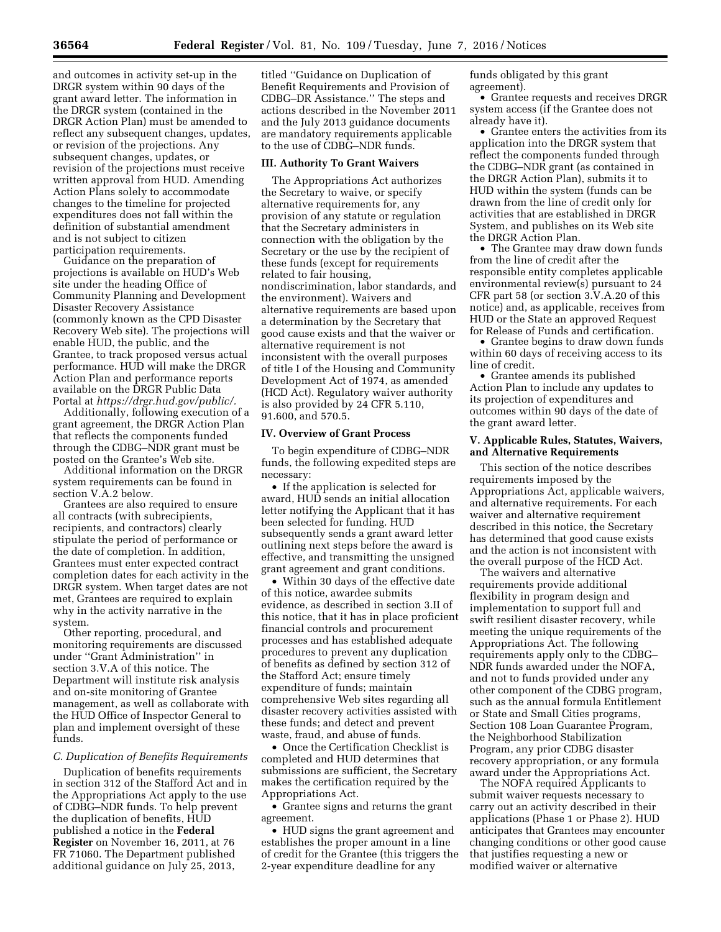and outcomes in activity set-up in the DRGR system within 90 days of the grant award letter. The information in the DRGR system (contained in the DRGR Action Plan) must be amended to reflect any subsequent changes, updates, or revision of the projections. Any subsequent changes, updates, or revision of the projections must receive written approval from HUD. Amending Action Plans solely to accommodate changes to the timeline for projected expenditures does not fall within the definition of substantial amendment and is not subject to citizen participation requirements.

Guidance on the preparation of projections is available on HUD's Web site under the heading Office of Community Planning and Development Disaster Recovery Assistance (commonly known as the CPD Disaster Recovery Web site). The projections will enable HUD, the public, and the Grantee, to track proposed versus actual performance. HUD will make the DRGR Action Plan and performance reports available on the DRGR Public Data Portal at *[https://drgr.hud.gov/public/.](https://drgr.hud.gov/public/)* 

Additionally, following execution of a grant agreement, the DRGR Action Plan that reflects the components funded through the CDBG–NDR grant must be posted on the Grantee's Web site.

Additional information on the DRGR system requirements can be found in section V.A.2 below.

Grantees are also required to ensure all contracts (with subrecipients, recipients, and contractors) clearly stipulate the period of performance or the date of completion. In addition, Grantees must enter expected contract completion dates for each activity in the DRGR system. When target dates are not met, Grantees are required to explain why in the activity narrative in the system.

Other reporting, procedural, and monitoring requirements are discussed under ''Grant Administration'' in section 3.V.A of this notice. The Department will institute risk analysis and on-site monitoring of Grantee management, as well as collaborate with the HUD Office of Inspector General to plan and implement oversight of these funds.

#### *C. Duplication of Benefits Requirements*

Duplication of benefits requirements in section 312 of the Stafford Act and in the Appropriations Act apply to the use of CDBG–NDR funds. To help prevent the duplication of benefits, HUD published a notice in the **Federal Register** on November 16, 2011, at 76 FR 71060. The Department published additional guidance on July 25, 2013,

titled ''Guidance on Duplication of Benefit Requirements and Provision of CDBG–DR Assistance.'' The steps and actions described in the November 2011 and the July 2013 guidance documents are mandatory requirements applicable to the use of CDBG–NDR funds.

### **III. Authority To Grant Waivers**

The Appropriations Act authorizes the Secretary to waive, or specify alternative requirements for, any provision of any statute or regulation that the Secretary administers in connection with the obligation by the Secretary or the use by the recipient of these funds (except for requirements related to fair housing, nondiscrimination, labor standards, and the environment). Waivers and alternative requirements are based upon a determination by the Secretary that good cause exists and that the waiver or alternative requirement is not inconsistent with the overall purposes of title I of the Housing and Community Development Act of 1974, as amended (HCD Act). Regulatory waiver authority is also provided by 24 CFR 5.110, 91.600, and 570.5.

### **IV. Overview of Grant Process**

To begin expenditure of CDBG–NDR funds, the following expedited steps are necessary:

• If the application is selected for award, HUD sends an initial allocation letter notifying the Applicant that it has been selected for funding. HUD subsequently sends a grant award letter outlining next steps before the award is effective, and transmitting the unsigned grant agreement and grant conditions.

• Within 30 days of the effective date of this notice, awardee submits evidence, as described in section 3.II of this notice, that it has in place proficient financial controls and procurement processes and has established adequate procedures to prevent any duplication of benefits as defined by section 312 of the Stafford Act; ensure timely expenditure of funds; maintain comprehensive Web sites regarding all disaster recovery activities assisted with these funds; and detect and prevent waste, fraud, and abuse of funds.

• Once the Certification Checklist is completed and HUD determines that submissions are sufficient, the Secretary makes the certification required by the Appropriations Act.

• Grantee signs and returns the grant agreement.

• HUD signs the grant agreement and establishes the proper amount in a line of credit for the Grantee (this triggers the 2-year expenditure deadline for any

funds obligated by this grant agreement).

• Grantee requests and receives DRGR system access (if the Grantee does not already have it).

• Grantee enters the activities from its application into the DRGR system that reflect the components funded through the CDBG–NDR grant (as contained in the DRGR Action Plan), submits it to HUD within the system (funds can be drawn from the line of credit only for activities that are established in DRGR System, and publishes on its Web site the DRGR Action Plan.

• The Grantee may draw down funds from the line of credit after the responsible entity completes applicable environmental review(s) pursuant to 24 CFR part 58 (or section 3.V.A.20 of this notice) and, as applicable, receives from HUD or the State an approved Request for Release of Funds and certification.

• Grantee begins to draw down funds within 60 days of receiving access to its line of credit.

• Grantee amends its published Action Plan to include any updates to its projection of expenditures and outcomes within 90 days of the date of the grant award letter.

## **V. Applicable Rules, Statutes, Waivers, and Alternative Requirements**

This section of the notice describes requirements imposed by the Appropriations Act, applicable waivers, and alternative requirements. For each waiver and alternative requirement described in this notice, the Secretary has determined that good cause exists and the action is not inconsistent with the overall purpose of the HCD Act.

The waivers and alternative requirements provide additional flexibility in program design and implementation to support full and swift resilient disaster recovery, while meeting the unique requirements of the Appropriations Act. The following requirements apply only to the CDBG– NDR funds awarded under the NOFA, and not to funds provided under any other component of the CDBG program, such as the annual formula Entitlement or State and Small Cities programs, Section 108 Loan Guarantee Program, the Neighborhood Stabilization Program, any prior CDBG disaster recovery appropriation, or any formula award under the Appropriations Act.

The NOFA required Applicants to submit waiver requests necessary to carry out an activity described in their applications (Phase 1 or Phase 2). HUD anticipates that Grantees may encounter changing conditions or other good cause that justifies requesting a new or modified waiver or alternative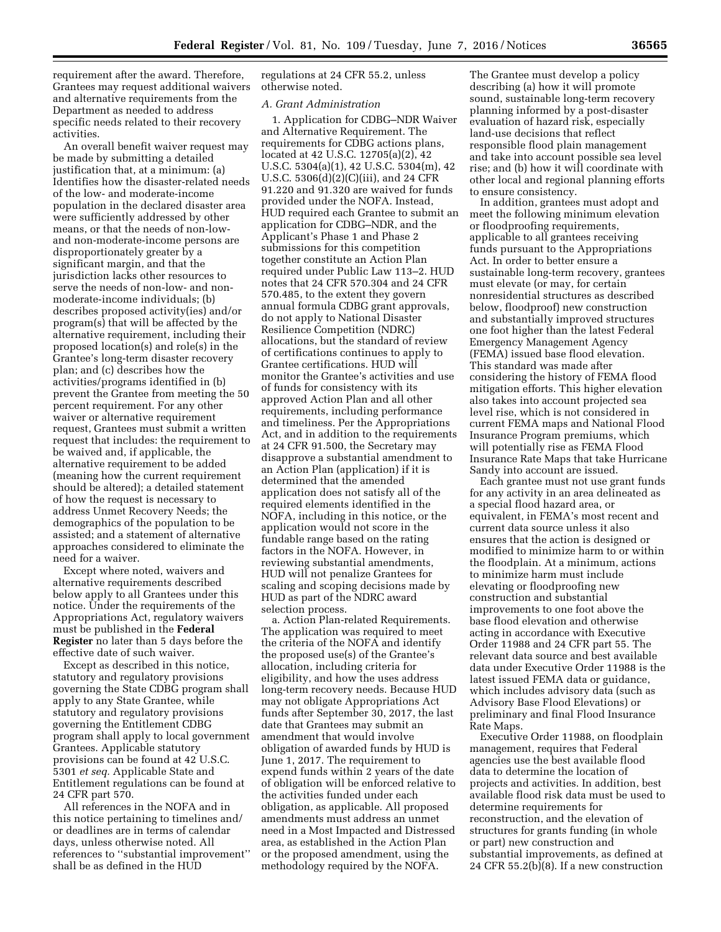requirement after the award. Therefore, Grantees may request additional waivers and alternative requirements from the Department as needed to address specific needs related to their recovery activities.

An overall benefit waiver request may be made by submitting a detailed justification that, at a minimum: (a) Identifies how the disaster-related needs of the low- and moderate-income population in the declared disaster area were sufficiently addressed by other means, or that the needs of non-lowand non-moderate-income persons are disproportionately greater by a significant margin, and that the jurisdiction lacks other resources to serve the needs of non-low- and nonmoderate-income individuals; (b) describes proposed activity(ies) and/or program(s) that will be affected by the alternative requirement, including their proposed location(s) and role(s) in the Grantee's long-term disaster recovery plan; and (c) describes how the activities/programs identified in (b) prevent the Grantee from meeting the 50 percent requirement. For any other waiver or alternative requirement request, Grantees must submit a written request that includes: the requirement to be waived and, if applicable, the alternative requirement to be added (meaning how the current requirement should be altered); a detailed statement of how the request is necessary to address Unmet Recovery Needs; the demographics of the population to be assisted; and a statement of alternative approaches considered to eliminate the need for a waiver.

Except where noted, waivers and alternative requirements described below apply to all Grantees under this notice. Under the requirements of the Appropriations Act, regulatory waivers must be published in the **Federal Register** no later than 5 days before the effective date of such waiver.

Except as described in this notice, statutory and regulatory provisions governing the State CDBG program shall apply to any State Grantee, while statutory and regulatory provisions governing the Entitlement CDBG program shall apply to local government Grantees. Applicable statutory provisions can be found at 42 U.S.C. 5301 *et seq.* Applicable State and Entitlement regulations can be found at 24 CFR part 570.

All references in the NOFA and in this notice pertaining to timelines and/ or deadlines are in terms of calendar days, unless otherwise noted. All references to ''substantial improvement'' shall be as defined in the HUD

regulations at 24 CFR 55.2, unless otherwise noted.

#### *A. Grant Administration*

1. Application for CDBG–NDR Waiver and Alternative Requirement. The requirements for CDBG actions plans, located at 42 U.S.C. 12705(a)(2), 42 U.S.C. 5304(a)(1), 42 U.S.C. 5304(m), 42 U.S.C. 5306(d)(2)(C)(iii), and 24 CFR 91.220 and 91.320 are waived for funds provided under the NOFA. Instead, HUD required each Grantee to submit an application for CDBG–NDR, and the Applicant's Phase 1 and Phase 2 submissions for this competition together constitute an Action Plan required under Public Law 113–2. HUD notes that 24 CFR 570.304 and 24 CFR 570.485, to the extent they govern annual formula CDBG grant approvals, do not apply to National Disaster Resilience Competition (NDRC) allocations, but the standard of review of certifications continues to apply to Grantee certifications. HUD will monitor the Grantee's activities and use of funds for consistency with its approved Action Plan and all other requirements, including performance and timeliness. Per the Appropriations Act, and in addition to the requirements at 24 CFR 91.500, the Secretary may disapprove a substantial amendment to an Action Plan (application) if it is determined that the amended application does not satisfy all of the required elements identified in the NOFA, including in this notice, or the application would not score in the fundable range based on the rating factors in the NOFA. However, in reviewing substantial amendments, HUD will not penalize Grantees for scaling and scoping decisions made by HUD as part of the NDRC award selection process.

a. Action Plan-related Requirements. The application was required to meet the criteria of the NOFA and identify the proposed use(s) of the Grantee's allocation, including criteria for eligibility, and how the uses address long-term recovery needs. Because HUD may not obligate Appropriations Act funds after September 30, 2017, the last date that Grantees may submit an amendment that would involve obligation of awarded funds by HUD is June 1, 2017. The requirement to expend funds within 2 years of the date of obligation will be enforced relative to the activities funded under each obligation, as applicable. All proposed amendments must address an unmet need in a Most Impacted and Distressed area, as established in the Action Plan or the proposed amendment, using the methodology required by the NOFA.

The Grantee must develop a policy describing (a) how it will promote sound, sustainable long-term recovery planning informed by a post-disaster evaluation of hazard risk, especially land-use decisions that reflect responsible flood plain management and take into account possible sea level rise; and (b) how it will coordinate with other local and regional planning efforts to ensure consistency.

In addition, grantees must adopt and meet the following minimum elevation or floodproofing requirements, applicable to all grantees receiving funds pursuant to the Appropriations Act. In order to better ensure a sustainable long-term recovery, grantees must elevate (or may, for certain nonresidential structures as described below, floodproof) new construction and substantially improved structures one foot higher than the latest Federal Emergency Management Agency (FEMA) issued base flood elevation. This standard was made after considering the history of FEMA flood mitigation efforts. This higher elevation also takes into account projected sea level rise, which is not considered in current FEMA maps and National Flood Insurance Program premiums, which will potentially rise as FEMA Flood Insurance Rate Maps that take Hurricane Sandy into account are issued.

Each grantee must not use grant funds for any activity in an area delineated as a special flood hazard area, or equivalent, in FEMA's most recent and current data source unless it also ensures that the action is designed or modified to minimize harm to or within the floodplain. At a minimum, actions to minimize harm must include elevating or floodproofing new construction and substantial improvements to one foot above the base flood elevation and otherwise acting in accordance with Executive Order 11988 and 24 CFR part 55. The relevant data source and best available data under Executive Order 11988 is the latest issued FEMA data or guidance, which includes advisory data (such as Advisory Base Flood Elevations) or preliminary and final Flood Insurance Rate Maps.

Executive Order 11988, on floodplain management, requires that Federal agencies use the best available flood data to determine the location of projects and activities. In addition, best available flood risk data must be used to determine requirements for reconstruction, and the elevation of structures for grants funding (in whole or part) new construction and substantial improvements, as defined at 24 CFR 55.2(b)(8). If a new construction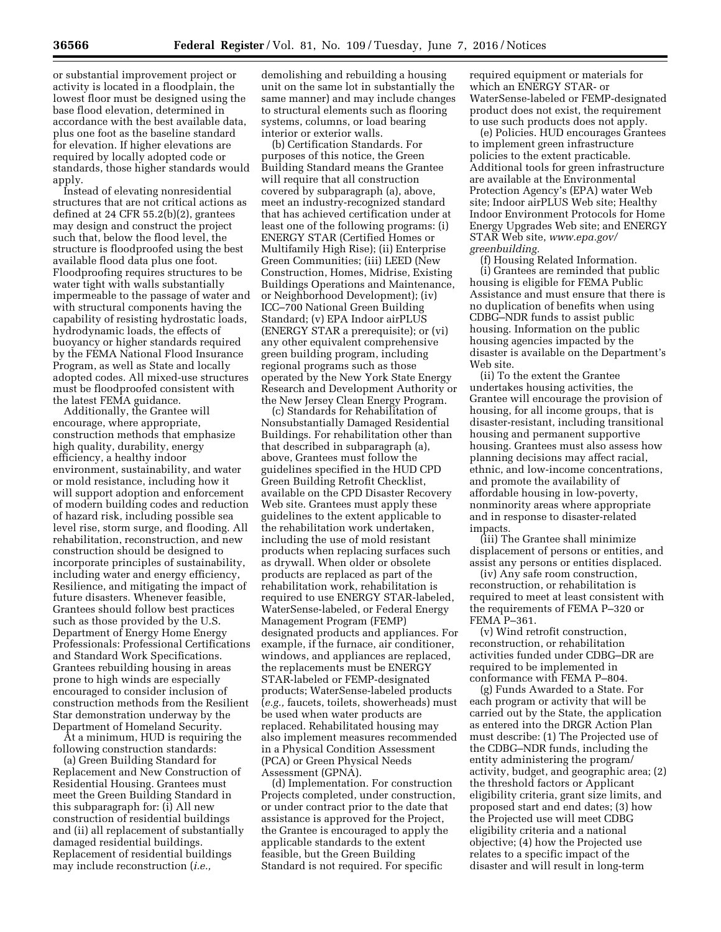or substantial improvement project or activity is located in a floodplain, the lowest floor must be designed using the base flood elevation, determined in accordance with the best available data, plus one foot as the baseline standard for elevation. If higher elevations are required by locally adopted code or standards, those higher standards would apply.

Instead of elevating nonresidential structures that are not critical actions as defined at 24 CFR 55.2(b)(2), grantees may design and construct the project such that, below the flood level, the structure is floodproofed using the best available flood data plus one foot. Floodproofing requires structures to be water tight with walls substantially impermeable to the passage of water and with structural components having the capability of resisting hydrostatic loads, hydrodynamic loads, the effects of buoyancy or higher standards required by the FEMA National Flood Insurance Program, as well as State and locally adopted codes. All mixed-use structures must be floodproofed consistent with the latest FEMA guidance.

Additionally, the Grantee will encourage, where appropriate, construction methods that emphasize high quality, durability, energy efficiency, a healthy indoor environment, sustainability, and water or mold resistance, including how it will support adoption and enforcement of modern building codes and reduction of hazard risk, including possible sea level rise, storm surge, and flooding. All rehabilitation, reconstruction, and new construction should be designed to incorporate principles of sustainability, including water and energy efficiency, Resilience, and mitigating the impact of future disasters. Whenever feasible, Grantees should follow best practices such as those provided by the U.S. Department of Energy Home Energy Professionals: Professional Certifications and Standard Work Specifications. Grantees rebuilding housing in areas prone to high winds are especially encouraged to consider inclusion of construction methods from the Resilient Star demonstration underway by the Department of Homeland Security.

At a minimum, HUD is requiring the following construction standards:

(a) Green Building Standard for Replacement and New Construction of Residential Housing. Grantees must meet the Green Building Standard in this subparagraph for: (i) All new construction of residential buildings and (ii) all replacement of substantially damaged residential buildings. Replacement of residential buildings may include reconstruction (*i.e.,* 

demolishing and rebuilding a housing unit on the same lot in substantially the same manner) and may include changes to structural elements such as flooring systems, columns, or load bearing interior or exterior walls.

(b) Certification Standards. For purposes of this notice, the Green Building Standard means the Grantee will require that all construction covered by subparagraph (a), above, meet an industry-recognized standard that has achieved certification under at least one of the following programs: (i) ENERGY STAR (Certified Homes or Multifamily High Rise); (ii) Enterprise Green Communities; (iii) LEED (New Construction, Homes, Midrise, Existing Buildings Operations and Maintenance, or Neighborhood Development); (iv) ICC–700 National Green Building Standard; (v) EPA Indoor airPLUS (ENERGY STAR a prerequisite); or (vi) any other equivalent comprehensive green building program, including regional programs such as those operated by the New York State Energy Research and Development Authority or the New Jersey Clean Energy Program.

(c) Standards for Rehabilitation of Nonsubstantially Damaged Residential Buildings. For rehabilitation other than that described in subparagraph (a), above, Grantees must follow the guidelines specified in the HUD CPD Green Building Retrofit Checklist, available on the CPD Disaster Recovery Web site. Grantees must apply these guidelines to the extent applicable to the rehabilitation work undertaken, including the use of mold resistant products when replacing surfaces such as drywall. When older or obsolete products are replaced as part of the rehabilitation work, rehabilitation is required to use ENERGY STAR-labeled, WaterSense-labeled, or Federal Energy Management Program (FEMP) designated products and appliances. For example, if the furnace, air conditioner, windows, and appliances are replaced, the replacements must be ENERGY STAR-labeled or FEMP-designated products; WaterSense-labeled products (*e.g.,* faucets, toilets, showerheads) must be used when water products are replaced. Rehabilitated housing may also implement measures recommended in a Physical Condition Assessment (PCA) or Green Physical Needs Assessment (GPNA).

(d) Implementation. For construction Projects completed, under construction, or under contract prior to the date that assistance is approved for the Project, the Grantee is encouraged to apply the applicable standards to the extent feasible, but the Green Building Standard is not required. For specific

required equipment or materials for which an ENERGY STAR- or WaterSense-labeled or FEMP-designated product does not exist, the requirement to use such products does not apply.

(e) Policies. HUD encourages Grantees to implement green infrastructure policies to the extent practicable. Additional tools for green infrastructure are available at the Environmental Protection Agency's (EPA) water Web site; Indoor airPLUS Web site; Healthy Indoor Environment Protocols for Home Energy Upgrades Web site; and ENERGY STAR Web site, *[www.epa.gov/](http://www.epa.gov/greenbuilding) [greenbuilding.](http://www.epa.gov/greenbuilding)* 

(f) Housing Related Information. (i) Grantees are reminded that public housing is eligible for FEMA Public Assistance and must ensure that there is no duplication of benefits when using CDBG–NDR funds to assist public housing. Information on the public housing agencies impacted by the disaster is available on the Department's Web site.

(ii) To the extent the Grantee undertakes housing activities, the Grantee will encourage the provision of housing, for all income groups, that is disaster-resistant, including transitional housing and permanent supportive housing. Grantees must also assess how planning decisions may affect racial, ethnic, and low-income concentrations, and promote the availability of affordable housing in low-poverty, nonminority areas where appropriate and in response to disaster-related impacts.

(iii) The Grantee shall minimize displacement of persons or entities, and assist any persons or entities displaced.

(iv) Any safe room construction, reconstruction, or rehabilitation is required to meet at least consistent with the requirements of FEMA P–320 or FEMA P–361.

(v) Wind retrofit construction, reconstruction, or rehabilitation activities funded under CDBG–DR are required to be implemented in conformance with FEMA P–804.

(g) Funds Awarded to a State. For each program or activity that will be carried out by the State, the application as entered into the DRGR Action Plan must describe: (1) The Projected use of the CDBG–NDR funds, including the entity administering the program/ activity, budget, and geographic area; (2) the threshold factors or Applicant eligibility criteria, grant size limits, and proposed start and end dates; (3) how the Projected use will meet CDBG eligibility criteria and a national objective; (4) how the Projected use relates to a specific impact of the disaster and will result in long-term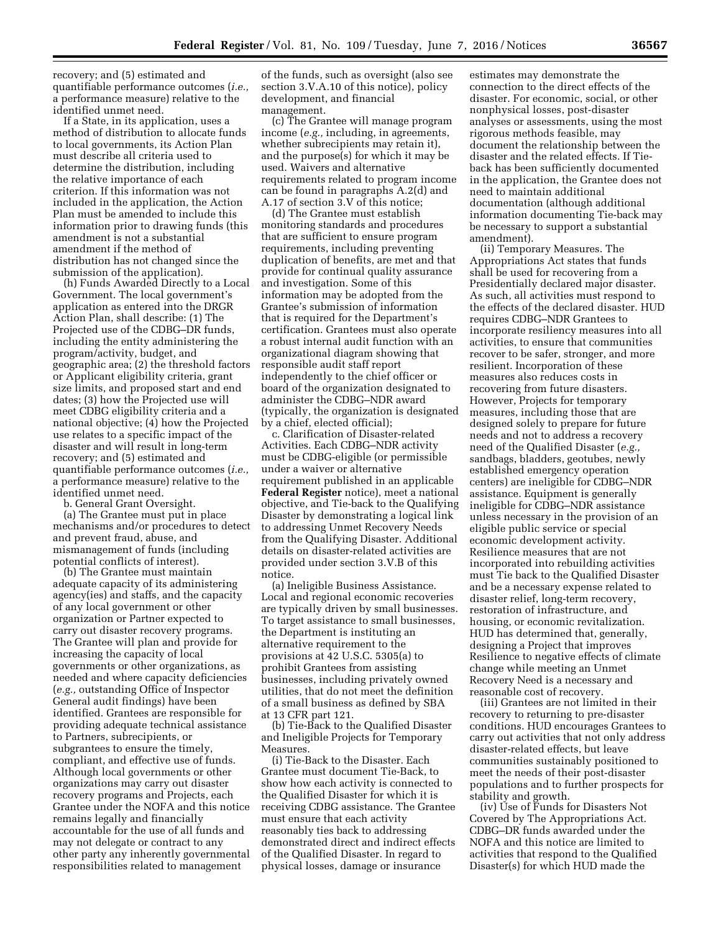recovery; and (5) estimated and quantifiable performance outcomes (*i.e.,*  a performance measure) relative to the identified unmet need.

If a State, in its application, uses a method of distribution to allocate funds to local governments, its Action Plan must describe all criteria used to determine the distribution, including the relative importance of each criterion. If this information was not included in the application, the Action Plan must be amended to include this information prior to drawing funds (this amendment is not a substantial amendment if the method of distribution has not changed since the submission of the application).

(h) Funds Awarded Directly to a Local Government. The local government's application as entered into the DRGR Action Plan, shall describe: (1) The Projected use of the CDBG–DR funds, including the entity administering the program/activity, budget, and geographic area; (2) the threshold factors or Applicant eligibility criteria, grant size limits, and proposed start and end dates; (3) how the Projected use will meet CDBG eligibility criteria and a national objective; (4) how the Projected use relates to a specific impact of the disaster and will result in long-term recovery; and (5) estimated and quantifiable performance outcomes (*i.e.,*  a performance measure) relative to the identified unmet need.

b. General Grant Oversight.

(a) The Grantee must put in place mechanisms and/or procedures to detect and prevent fraud, abuse, and mismanagement of funds (including potential conflicts of interest).

(b) The Grantee must maintain adequate capacity of its administering agency(ies) and staffs, and the capacity of any local government or other organization or Partner expected to carry out disaster recovery programs. The Grantee will plan and provide for increasing the capacity of local governments or other organizations, as needed and where capacity deficiencies (*e.g.,* outstanding Office of Inspector General audit findings) have been identified. Grantees are responsible for providing adequate technical assistance to Partners, subrecipients, or subgrantees to ensure the timely, compliant, and effective use of funds. Although local governments or other organizations may carry out disaster recovery programs and Projects, each Grantee under the NOFA and this notice remains legally and financially accountable for the use of all funds and may not delegate or contract to any other party any inherently governmental responsibilities related to management

of the funds, such as oversight (also see section 3.V.A.10 of this notice), policy development, and financial management.

(c) The Grantee will manage program income (*e.g.,* including, in agreements, whether subrecipients may retain it), and the purpose(s) for which it may be used. Waivers and alternative requirements related to program income can be found in paragraphs A.2(d) and A.17 of section 3.V of this notice;

(d) The Grantee must establish monitoring standards and procedures that are sufficient to ensure program requirements, including preventing duplication of benefits, are met and that provide for continual quality assurance and investigation. Some of this information may be adopted from the Grantee's submission of information that is required for the Department's certification. Grantees must also operate a robust internal audit function with an organizational diagram showing that responsible audit staff report independently to the chief officer or board of the organization designated to administer the CDBG–NDR award (typically, the organization is designated by a chief, elected official);

c. Clarification of Disaster-related Activities. Each CDBG–NDR activity must be CDBG-eligible (or permissible under a waiver or alternative requirement published in an applicable **Federal Register** notice), meet a national objective, and Tie-back to the Qualifying Disaster by demonstrating a logical link to addressing Unmet Recovery Needs from the Qualifying Disaster. Additional details on disaster-related activities are provided under section 3.V.B of this notice.

(a) Ineligible Business Assistance. Local and regional economic recoveries are typically driven by small businesses. To target assistance to small businesses, the Department is instituting an alternative requirement to the provisions at 42 U.S.C. 5305(a) to prohibit Grantees from assisting businesses, including privately owned utilities, that do not meet the definition of a small business as defined by SBA at 13 CFR part 121.

(b) Tie-Back to the Qualified Disaster and Ineligible Projects for Temporary **Measures** 

(i) Tie-Back to the Disaster. Each Grantee must document Tie-Back, to show how each activity is connected to the Qualified Disaster for which it is receiving CDBG assistance. The Grantee must ensure that each activity reasonably ties back to addressing demonstrated direct and indirect effects of the Qualified Disaster. In regard to physical losses, damage or insurance

estimates may demonstrate the connection to the direct effects of the disaster. For economic, social, or other nonphysical losses, post-disaster analyses or assessments, using the most rigorous methods feasible, may document the relationship between the disaster and the related effects. If Tieback has been sufficiently documented in the application, the Grantee does not need to maintain additional documentation (although additional information documenting Tie-back may be necessary to support a substantial amendment).

(ii) Temporary Measures. The Appropriations Act states that funds shall be used for recovering from a Presidentially declared major disaster. As such, all activities must respond to the effects of the declared disaster. HUD requires CDBG–NDR Grantees to incorporate resiliency measures into all activities, to ensure that communities recover to be safer, stronger, and more resilient. Incorporation of these measures also reduces costs in recovering from future disasters. However, Projects for temporary measures, including those that are designed solely to prepare for future needs and not to address a recovery need of the Qualified Disaster (*e.g.,*  sandbags, bladders, geotubes, newly established emergency operation centers) are ineligible for CDBG–NDR assistance. Equipment is generally ineligible for CDBG–NDR assistance unless necessary in the provision of an eligible public service or special economic development activity. Resilience measures that are not incorporated into rebuilding activities must Tie back to the Qualified Disaster and be a necessary expense related to disaster relief, long-term recovery, restoration of infrastructure, and housing, or economic revitalization. HUD has determined that, generally, designing a Project that improves Resilience to negative effects of climate change while meeting an Unmet Recovery Need is a necessary and reasonable cost of recovery.

(iii) Grantees are not limited in their recovery to returning to pre-disaster conditions. HUD encourages Grantees to carry out activities that not only address disaster-related effects, but leave communities sustainably positioned to meet the needs of their post-disaster populations and to further prospects for stability and growth.

(iv) Use of Funds for Disasters Not Covered by The Appropriations Act. CDBG–DR funds awarded under the NOFA and this notice are limited to activities that respond to the Qualified Disaster(s) for which HUD made the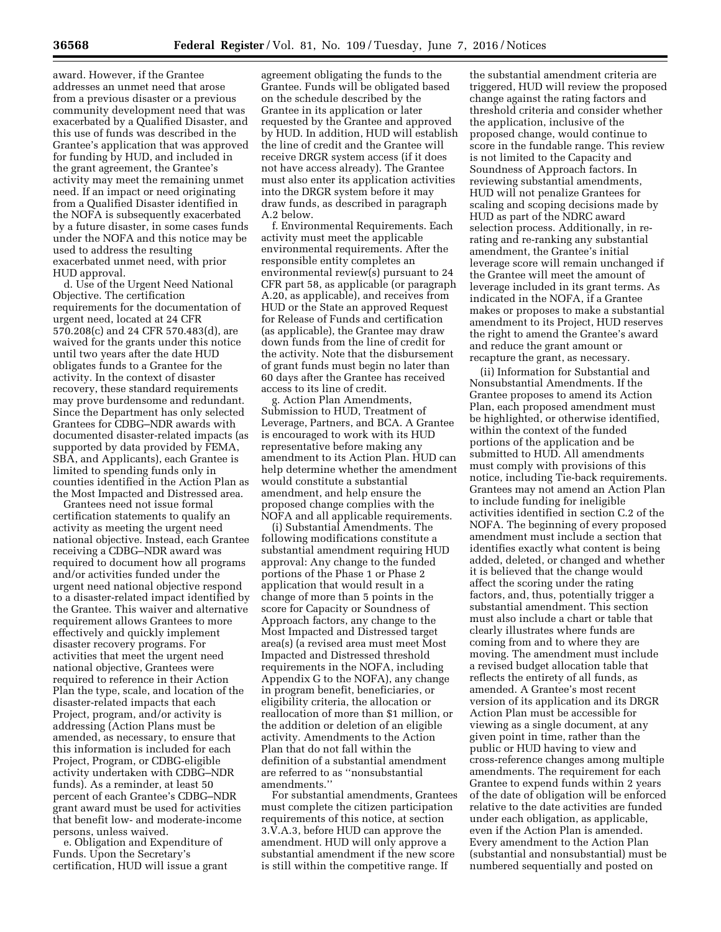award. However, if the Grantee addresses an unmet need that arose from a previous disaster or a previous community development need that was exacerbated by a Qualified Disaster, and this use of funds was described in the Grantee's application that was approved for funding by HUD, and included in the grant agreement, the Grantee's activity may meet the remaining unmet need. If an impact or need originating from a Qualified Disaster identified in the NOFA is subsequently exacerbated by a future disaster, in some cases funds under the NOFA and this notice may be used to address the resulting exacerbated unmet need, with prior HUD approval.

d. Use of the Urgent Need National Objective. The certification requirements for the documentation of urgent need, located at 24 CFR 570.208(c) and 24 CFR 570.483(d), are waived for the grants under this notice until two years after the date HUD obligates funds to a Grantee for the activity. In the context of disaster recovery, these standard requirements may prove burdensome and redundant. Since the Department has only selected Grantees for CDBG–NDR awards with documented disaster-related impacts (as supported by data provided by FEMA, SBA, and Applicants), each Grantee is limited to spending funds only in counties identified in the Action Plan as the Most Impacted and Distressed area.

Grantees need not issue formal certification statements to qualify an activity as meeting the urgent need national objective. Instead, each Grantee receiving a CDBG–NDR award was required to document how all programs and/or activities funded under the urgent need national objective respond to a disaster-related impact identified by the Grantee. This waiver and alternative requirement allows Grantees to more effectively and quickly implement disaster recovery programs. For activities that meet the urgent need national objective, Grantees were required to reference in their Action Plan the type, scale, and location of the disaster-related impacts that each Project, program, and/or activity is addressing (Action Plans must be amended, as necessary, to ensure that this information is included for each Project, Program, or CDBG-eligible activity undertaken with CDBG–NDR funds). As a reminder, at least 50 percent of each Grantee's CDBG–NDR grant award must be used for activities that benefit low- and moderate-income persons, unless waived.

e. Obligation and Expenditure of Funds. Upon the Secretary's certification, HUD will issue a grant

agreement obligating the funds to the Grantee. Funds will be obligated based on the schedule described by the Grantee in its application or later requested by the Grantee and approved by HUD. In addition, HUD will establish the line of credit and the Grantee will receive DRGR system access (if it does not have access already). The Grantee must also enter its application activities into the DRGR system before it may draw funds, as described in paragraph A.2 below.

f. Environmental Requirements. Each activity must meet the applicable environmental requirements. After the responsible entity completes an environmental review(s) pursuant to 24 CFR part 58, as applicable (or paragraph A.20, as applicable), and receives from HUD or the State an approved Request for Release of Funds and certification (as applicable), the Grantee may draw down funds from the line of credit for the activity. Note that the disbursement of grant funds must begin no later than 60 days after the Grantee has received access to its line of credit.

g. Action Plan Amendments, Submission to HUD, Treatment of Leverage, Partners, and BCA. A Grantee is encouraged to work with its HUD representative before making any amendment to its Action Plan. HUD can help determine whether the amendment would constitute a substantial amendment, and help ensure the proposed change complies with the NOFA and all applicable requirements.

(i) Substantial Amendments. The following modifications constitute a substantial amendment requiring HUD approval: Any change to the funded portions of the Phase 1 or Phase 2 application that would result in a change of more than 5 points in the score for Capacity or Soundness of Approach factors, any change to the Most Impacted and Distressed target area(s) (a revised area must meet Most Impacted and Distressed threshold requirements in the NOFA, including Appendix G to the NOFA), any change in program benefit, beneficiaries, or eligibility criteria, the allocation or reallocation of more than \$1 million, or the addition or deletion of an eligible activity. Amendments to the Action Plan that do not fall within the definition of a substantial amendment are referred to as ''nonsubstantial amendments.''

For substantial amendments, Grantees must complete the citizen participation requirements of this notice, at section 3.V.A.3, before HUD can approve the amendment. HUD will only approve a substantial amendment if the new score is still within the competitive range. If

the substantial amendment criteria are triggered, HUD will review the proposed change against the rating factors and threshold criteria and consider whether the application, inclusive of the proposed change, would continue to score in the fundable range. This review is not limited to the Capacity and Soundness of Approach factors. In reviewing substantial amendments, HUD will not penalize Grantees for scaling and scoping decisions made by HUD as part of the NDRC award selection process. Additionally, in rerating and re-ranking any substantial amendment, the Grantee's initial leverage score will remain unchanged if the Grantee will meet the amount of leverage included in its grant terms. As indicated in the NOFA, if a Grantee makes or proposes to make a substantial amendment to its Project, HUD reserves the right to amend the Grantee's award and reduce the grant amount or recapture the grant, as necessary.

(ii) Information for Substantial and Nonsubstantial Amendments. If the Grantee proposes to amend its Action Plan, each proposed amendment must be highlighted, or otherwise identified, within the context of the funded portions of the application and be submitted to HUD. All amendments must comply with provisions of this notice, including Tie-back requirements. Grantees may not amend an Action Plan to include funding for ineligible activities identified in section C.2 of the NOFA. The beginning of every proposed amendment must include a section that identifies exactly what content is being added, deleted, or changed and whether it is believed that the change would affect the scoring under the rating factors, and, thus, potentially trigger a substantial amendment. This section must also include a chart or table that clearly illustrates where funds are coming from and to where they are moving. The amendment must include a revised budget allocation table that reflects the entirety of all funds, as amended. A Grantee's most recent version of its application and its DRGR Action Plan must be accessible for viewing as a single document, at any given point in time, rather than the public or HUD having to view and cross-reference changes among multiple amendments. The requirement for each Grantee to expend funds within 2 years of the date of obligation will be enforced relative to the date activities are funded under each obligation, as applicable, even if the Action Plan is amended. Every amendment to the Action Plan (substantial and nonsubstantial) must be numbered sequentially and posted on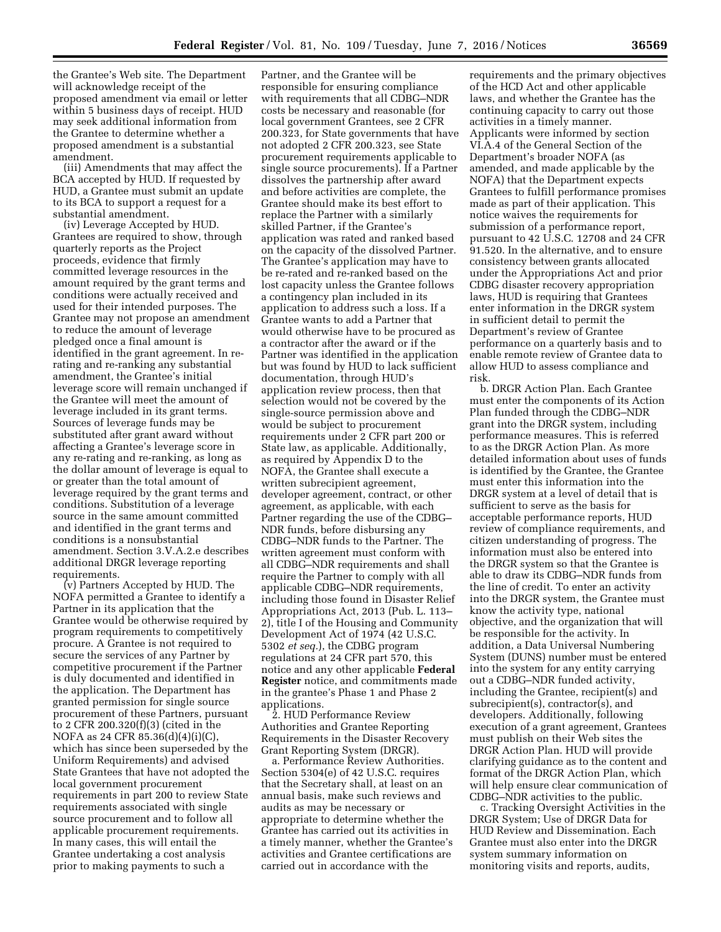the Grantee's Web site. The Department will acknowledge receipt of the proposed amendment via email or letter within 5 business days of receipt. HUD may seek additional information from the Grantee to determine whether a proposed amendment is a substantial amendment.

(iii) Amendments that may affect the BCA accepted by HUD. If requested by HUD, a Grantee must submit an update to its BCA to support a request for a substantial amendment.

(iv) Leverage Accepted by HUD. Grantees are required to show, through quarterly reports as the Project proceeds, evidence that firmly committed leverage resources in the amount required by the grant terms and conditions were actually received and used for their intended purposes. The Grantee may not propose an amendment to reduce the amount of leverage pledged once a final amount is identified in the grant agreement. In rerating and re-ranking any substantial amendment, the Grantee's initial leverage score will remain unchanged if the Grantee will meet the amount of leverage included in its grant terms. Sources of leverage funds may be substituted after grant award without affecting a Grantee's leverage score in any re-rating and re-ranking, as long as the dollar amount of leverage is equal to or greater than the total amount of leverage required by the grant terms and conditions. Substitution of a leverage source in the same amount committed and identified in the grant terms and conditions is a nonsubstantial amendment. Section 3.V.A.2.e describes additional DRGR leverage reporting requirements.

(v) Partners Accepted by HUD. The NOFA permitted a Grantee to identify a Partner in its application that the Grantee would be otherwise required by program requirements to competitively procure. A Grantee is not required to secure the services of any Partner by competitive procurement if the Partner is duly documented and identified in the application. The Department has granted permission for single source procurement of these Partners, pursuant to 2 CFR 200.320(f)(3) (cited in the NOFA as 24 CFR 85.36(d)(4)(i)(C), which has since been superseded by the Uniform Requirements) and advised State Grantees that have not adopted the local government procurement requirements in part 200 to review State requirements associated with single source procurement and to follow all applicable procurement requirements. In many cases, this will entail the Grantee undertaking a cost analysis prior to making payments to such a

Partner, and the Grantee will be responsible for ensuring compliance with requirements that all CDBG–NDR costs be necessary and reasonable (for local government Grantees, see 2 CFR 200.323, for State governments that have not adopted 2 CFR 200.323, see State procurement requirements applicable to single source procurements). If a Partner dissolves the partnership after award and before activities are complete, the Grantee should make its best effort to replace the Partner with a similarly skilled Partner, if the Grantee's application was rated and ranked based on the capacity of the dissolved Partner. The Grantee's application may have to be re-rated and re-ranked based on the lost capacity unless the Grantee follows a contingency plan included in its application to address such a loss. If a Grantee wants to add a Partner that would otherwise have to be procured as a contractor after the award or if the Partner was identified in the application but was found by HUD to lack sufficient documentation, through HUD's application review process, then that selection would not be covered by the single-source permission above and would be subject to procurement requirements under 2 CFR part 200 or State law, as applicable. Additionally, as required by Appendix D to the NOFA, the Grantee shall execute a written subrecipient agreement, developer agreement, contract, or other agreement, as applicable, with each Partner regarding the use of the CDBG– NDR funds, before disbursing any CDBG–NDR funds to the Partner. The written agreement must conform with all CDBG–NDR requirements and shall require the Partner to comply with all applicable CDBG–NDR requirements, including those found in Disaster Relief Appropriations Act, 2013 (Pub. L. 113– 2), title I of the Housing and Community Development Act of 1974 (42 U.S.C. 5302 *et seq.*), the CDBG program regulations at 24 CFR part 570, this notice and any other applicable **Federal Register** notice, and commitments made in the grantee's Phase 1 and Phase 2 applications.

2. HUD Performance Review Authorities and Grantee Reporting Requirements in the Disaster Recovery Grant Reporting System (DRGR).

a. Performance Review Authorities. Section 5304(e) of 42 U.S.C. requires that the Secretary shall, at least on an annual basis, make such reviews and audits as may be necessary or appropriate to determine whether the Grantee has carried out its activities in a timely manner, whether the Grantee's activities and Grantee certifications are carried out in accordance with the

requirements and the primary objectives of the HCD Act and other applicable laws, and whether the Grantee has the continuing capacity to carry out those activities in a timely manner. Applicants were informed by section VI.A.4 of the General Section of the Department's broader NOFA (as amended, and made applicable by the NOFA) that the Department expects Grantees to fulfill performance promises made as part of their application. This notice waives the requirements for submission of a performance report, pursuant to 42 U.S.C. 12708 and 24 CFR 91.520. In the alternative, and to ensure consistency between grants allocated under the Appropriations Act and prior CDBG disaster recovery appropriation laws, HUD is requiring that Grantees enter information in the DRGR system in sufficient detail to permit the Department's review of Grantee performance on a quarterly basis and to enable remote review of Grantee data to allow HUD to assess compliance and risk.

b. DRGR Action Plan. Each Grantee must enter the components of its Action Plan funded through the CDBG–NDR grant into the DRGR system, including performance measures. This is referred to as the DRGR Action Plan. As more detailed information about uses of funds is identified by the Grantee, the Grantee must enter this information into the DRGR system at a level of detail that is sufficient to serve as the basis for acceptable performance reports, HUD review of compliance requirements, and citizen understanding of progress. The information must also be entered into the DRGR system so that the Grantee is able to draw its CDBG–NDR funds from the line of credit. To enter an activity into the DRGR system, the Grantee must know the activity type, national objective, and the organization that will be responsible for the activity. In addition, a Data Universal Numbering System (DUNS) number must be entered into the system for any entity carrying out a CDBG–NDR funded activity, including the Grantee, recipient(s) and subrecipient(s), contractor(s), and developers. Additionally, following execution of a grant agreement, Grantees must publish on their Web sites the DRGR Action Plan. HUD will provide clarifying guidance as to the content and format of the DRGR Action Plan, which will help ensure clear communication of CDBG–NDR activities to the public.

c. Tracking Oversight Activities in the DRGR System; Use of DRGR Data for HUD Review and Dissemination. Each Grantee must also enter into the DRGR system summary information on monitoring visits and reports, audits,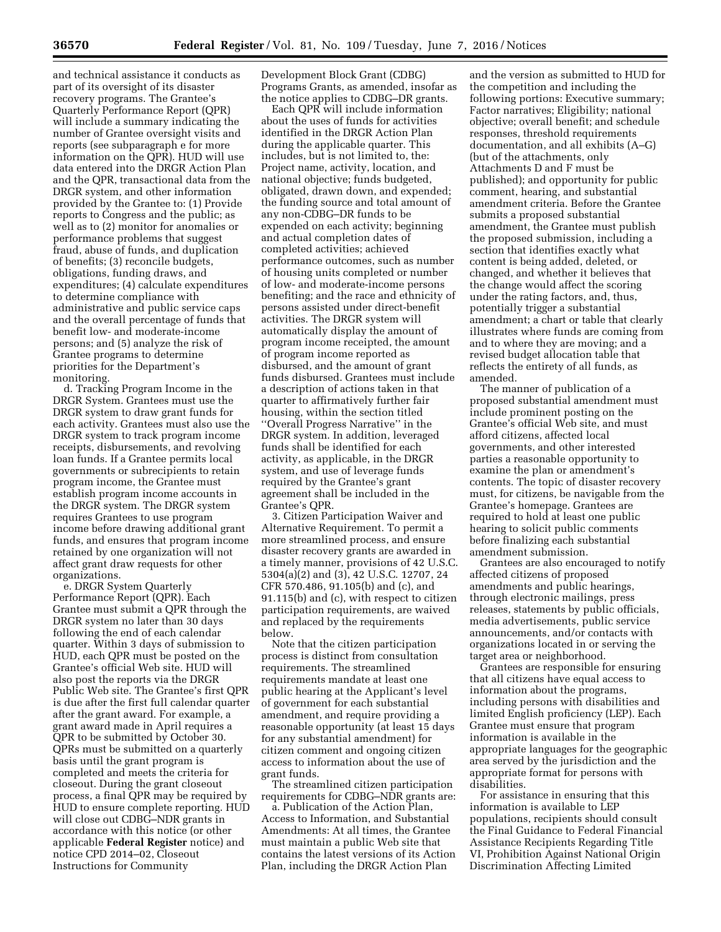and technical assistance it conducts as part of its oversight of its disaster recovery programs. The Grantee's Quarterly Performance Report (QPR) will include a summary indicating the number of Grantee oversight visits and reports (see subparagraph e for more information on the QPR). HUD will use data entered into the DRGR Action Plan and the QPR, transactional data from the DRGR system, and other information provided by the Grantee to: (1) Provide reports to Congress and the public; as well as to (2) monitor for anomalies or performance problems that suggest fraud, abuse of funds, and duplication of benefits; (3) reconcile budgets, obligations, funding draws, and expenditures; (4) calculate expenditures to determine compliance with administrative and public service caps and the overall percentage of funds that benefit low- and moderate-income persons; and (5) analyze the risk of Grantee programs to determine priorities for the Department's monitoring.

d. Tracking Program Income in the DRGR System. Grantees must use the DRGR system to draw grant funds for each activity. Grantees must also use the DRGR system to track program income receipts, disbursements, and revolving loan funds. If a Grantee permits local governments or subrecipients to retain program income, the Grantee must establish program income accounts in the DRGR system. The DRGR system requires Grantees to use program income before drawing additional grant funds, and ensures that program income retained by one organization will not affect grant draw requests for other organizations.

e. DRGR System Quarterly Performance Report (QPR). Each Grantee must submit a QPR through the DRGR system no later than 30 days following the end of each calendar quarter. Within 3 days of submission to HUD, each QPR must be posted on the Grantee's official Web site. HUD will also post the reports via the DRGR Public Web site. The Grantee's first QPR is due after the first full calendar quarter after the grant award. For example, a grant award made in April requires a QPR to be submitted by October 30. QPRs must be submitted on a quarterly basis until the grant program is completed and meets the criteria for closeout. During the grant closeout process, a final QPR may be required by HUD to ensure complete reporting. HUD will close out CDBG–NDR grants in accordance with this notice (or other applicable **Federal Register** notice) and notice CPD 2014–02, Closeout Instructions for Community

Development Block Grant (CDBG) Programs Grants, as amended, insofar as the notice applies to CDBG–DR grants.

Each QPR will include information about the uses of funds for activities identified in the DRGR Action Plan during the applicable quarter. This includes, but is not limited to, the: Project name, activity, location, and national objective; funds budgeted, obligated, drawn down, and expended; the funding source and total amount of any non-CDBG–DR funds to be expended on each activity; beginning and actual completion dates of completed activities; achieved performance outcomes, such as number of housing units completed or number of low- and moderate-income persons benefiting; and the race and ethnicity of persons assisted under direct-benefit activities. The DRGR system will automatically display the amount of program income receipted, the amount of program income reported as disbursed, and the amount of grant funds disbursed. Grantees must include a description of actions taken in that quarter to affirmatively further fair housing, within the section titled ''Overall Progress Narrative'' in the DRGR system. In addition, leveraged funds shall be identified for each activity, as applicable, in the DRGR system, and use of leverage funds required by the Grantee's grant agreement shall be included in the Grantee's QPR.

3. Citizen Participation Waiver and Alternative Requirement. To permit a more streamlined process, and ensure disaster recovery grants are awarded in a timely manner, provisions of 42 U.S.C. 5304(a)(2) and (3), 42 U.S.C. 12707, 24 CFR 570.486, 91.105(b) and (c), and 91.115(b) and (c), with respect to citizen participation requirements, are waived and replaced by the requirements below.

Note that the citizen participation process is distinct from consultation requirements. The streamlined requirements mandate at least one public hearing at the Applicant's level of government for each substantial amendment, and require providing a reasonable opportunity (at least 15 days for any substantial amendment) for citizen comment and ongoing citizen access to information about the use of grant funds.

The streamlined citizen participation requirements for CDBG–NDR grants are:

a. Publication of the Action Plan, Access to Information, and Substantial Amendments: At all times, the Grantee must maintain a public Web site that contains the latest versions of its Action Plan, including the DRGR Action Plan

and the version as submitted to HUD for the competition and including the following portions: Executive summary; Factor narratives; Eligibility; national objective; overall benefit; and schedule responses, threshold requirements documentation, and all exhibits (A–G) (but of the attachments, only Attachments D and F must be published); and opportunity for public comment, hearing, and substantial amendment criteria. Before the Grantee submits a proposed substantial amendment, the Grantee must publish the proposed submission, including a section that identifies exactly what content is being added, deleted, or changed, and whether it believes that the change would affect the scoring under the rating factors, and, thus, potentially trigger a substantial amendment; a chart or table that clearly illustrates where funds are coming from and to where they are moving; and a revised budget allocation table that reflects the entirety of all funds, as amended.

The manner of publication of a proposed substantial amendment must include prominent posting on the Grantee's official Web site, and must afford citizens, affected local governments, and other interested parties a reasonable opportunity to examine the plan or amendment's contents. The topic of disaster recovery must, for citizens, be navigable from the Grantee's homepage. Grantees are required to hold at least one public hearing to solicit public comments before finalizing each substantial amendment submission.

Grantees are also encouraged to notify affected citizens of proposed amendments and public hearings, through electronic mailings, press releases, statements by public officials, media advertisements, public service announcements, and/or contacts with organizations located in or serving the target area or neighborhood.

Grantees are responsible for ensuring that all citizens have equal access to information about the programs, including persons with disabilities and limited English proficiency (LEP). Each Grantee must ensure that program information is available in the appropriate languages for the geographic area served by the jurisdiction and the appropriate format for persons with disabilities.

For assistance in ensuring that this information is available to LEP populations, recipients should consult the Final Guidance to Federal Financial Assistance Recipients Regarding Title VI, Prohibition Against National Origin Discrimination Affecting Limited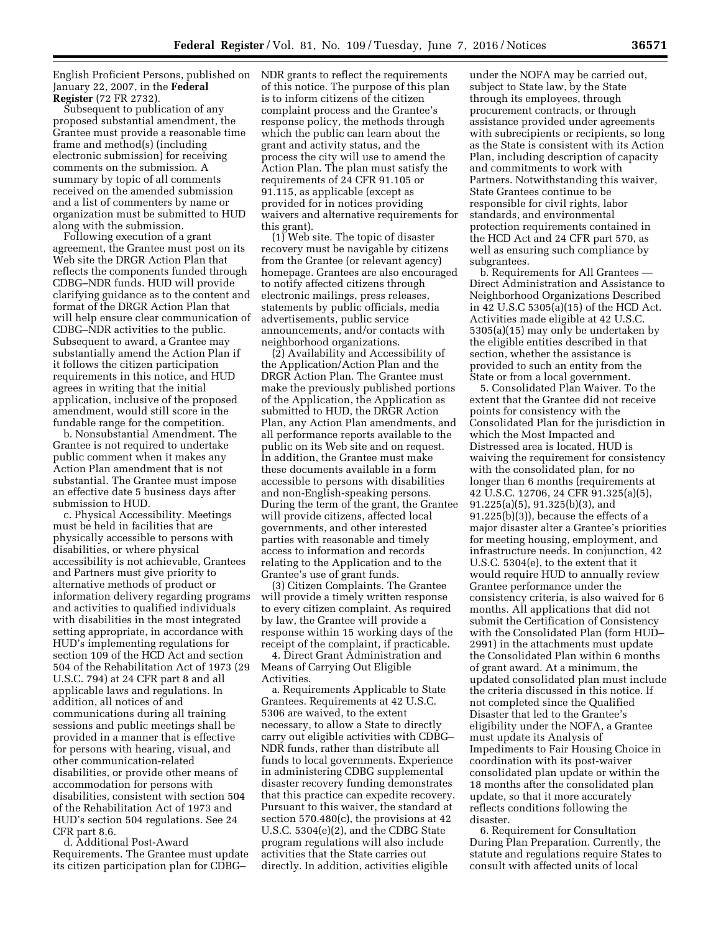English Proficient Persons, published on NDR grants to reflect the requirements January 22, 2007, in the **Federal Register** (72 FR 2732).

Subsequent to publication of any proposed substantial amendment, the Grantee must provide a reasonable time frame and method(s) (including electronic submission) for receiving comments on the submission. A summary by topic of all comments received on the amended submission and a list of commenters by name or organization must be submitted to HUD along with the submission.

Following execution of a grant agreement, the Grantee must post on its Web site the DRGR Action Plan that reflects the components funded through CDBG–NDR funds. HUD will provide clarifying guidance as to the content and format of the DRGR Action Plan that will help ensure clear communication of CDBG–NDR activities to the public. Subsequent to award, a Grantee may substantially amend the Action Plan if it follows the citizen participation requirements in this notice, and HUD agrees in writing that the initial application, inclusive of the proposed amendment, would still score in the fundable range for the competition.

b. Nonsubstantial Amendment. The Grantee is not required to undertake public comment when it makes any Action Plan amendment that is not substantial. The Grantee must impose an effective date 5 business days after submission to HUD.

c. Physical Accessibility. Meetings must be held in facilities that are physically accessible to persons with disabilities, or where physical accessibility is not achievable, Grantees and Partners must give priority to alternative methods of product or information delivery regarding programs and activities to qualified individuals with disabilities in the most integrated setting appropriate, in accordance with HUD's implementing regulations for section 109 of the HCD Act and section 504 of the Rehabilitation Act of 1973 (29 U.S.C. 794) at 24 CFR part 8 and all applicable laws and regulations. In addition, all notices of and communications during all training sessions and public meetings shall be provided in a manner that is effective for persons with hearing, visual, and other communication-related disabilities, or provide other means of accommodation for persons with disabilities, consistent with section 504 of the Rehabilitation Act of 1973 and HUD's section 504 regulations. See 24 CFR part 8.6.

d. Additional Post-Award Requirements. The Grantee must update its citizen participation plan for CDBG–

of this notice. The purpose of this plan is to inform citizens of the citizen complaint process and the Grantee's response policy, the methods through which the public can learn about the grant and activity status, and the process the city will use to amend the Action Plan. The plan must satisfy the requirements of 24 CFR 91.105 or 91.115, as applicable (except as provided for in notices providing waivers and alternative requirements for this grant).

(1) Web site. The topic of disaster recovery must be navigable by citizens from the Grantee (or relevant agency) homepage. Grantees are also encouraged to notify affected citizens through electronic mailings, press releases, statements by public officials, media advertisements, public service announcements, and/or contacts with neighborhood organizations.

(2) Availability and Accessibility of the Application/Action Plan and the DRGR Action Plan. The Grantee must make the previously published portions of the Application, the Application as submitted to HUD, the DRGR Action Plan, any Action Plan amendments, and all performance reports available to the public on its Web site and on request. In addition, the Grantee must make these documents available in a form accessible to persons with disabilities and non-English-speaking persons. During the term of the grant, the Grantee will provide citizens, affected local governments, and other interested parties with reasonable and timely access to information and records relating to the Application and to the Grantee's use of grant funds.

(3) Citizen Complaints. The Grantee will provide a timely written response to every citizen complaint. As required by law, the Grantee will provide a response within 15 working days of the receipt of the complaint, if practicable.

4. Direct Grant Administration and Means of Carrying Out Eligible Activities.

a. Requirements Applicable to State Grantees. Requirements at 42 U.S.C. 5306 are waived, to the extent necessary, to allow a State to directly carry out eligible activities with CDBG– NDR funds, rather than distribute all funds to local governments. Experience in administering CDBG supplemental disaster recovery funding demonstrates that this practice can expedite recovery. Pursuant to this waiver, the standard at section 570.480(c), the provisions at 42 U.S.C. 5304(e)(2), and the CDBG State program regulations will also include activities that the State carries out directly. In addition, activities eligible

under the NOFA may be carried out, subject to State law, by the State through its employees, through procurement contracts, or through assistance provided under agreements with subrecipients or recipients, so long as the State is consistent with its Action Plan, including description of capacity and commitments to work with Partners. Notwithstanding this waiver, State Grantees continue to be responsible for civil rights, labor standards, and environmental protection requirements contained in the HCD Act and 24 CFR part 570, as well as ensuring such compliance by subgrantees.

b. Requirements for All Grantees — Direct Administration and Assistance to Neighborhood Organizations Described in 42 U.S.C 5305(a)(15) of the HCD Act. Activities made eligible at 42 U.S.C. 5305(a)(15) may only be undertaken by the eligible entities described in that section, whether the assistance is provided to such an entity from the State or from a local government.

5. Consolidated Plan Waiver. To the extent that the Grantee did not receive points for consistency with the Consolidated Plan for the jurisdiction in which the Most Impacted and Distressed area is located, HUD is waiving the requirement for consistency with the consolidated plan, for no longer than 6 months (requirements at 42 U.S.C. 12706, 24 CFR 91.325(a)(5), 91.225(a)(5), 91.325(b)(3), and 91.225(b)(3)), because the effects of a major disaster alter a Grantee's priorities for meeting housing, employment, and infrastructure needs. In conjunction, 42 U.S.C. 5304(e), to the extent that it would require HUD to annually review Grantee performance under the consistency criteria, is also waived for 6 months. All applications that did not submit the Certification of Consistency with the Consolidated Plan (form HUD– 2991) in the attachments must update the Consolidated Plan within 6 months of grant award. At a minimum, the updated consolidated plan must include the criteria discussed in this notice. If not completed since the Qualified Disaster that led to the Grantee's eligibility under the NOFA, a Grantee must update its Analysis of Impediments to Fair Housing Choice in coordination with its post-waiver consolidated plan update or within the 18 months after the consolidated plan update, so that it more accurately reflects conditions following the disaster.

6. Requirement for Consultation During Plan Preparation. Currently, the statute and regulations require States to consult with affected units of local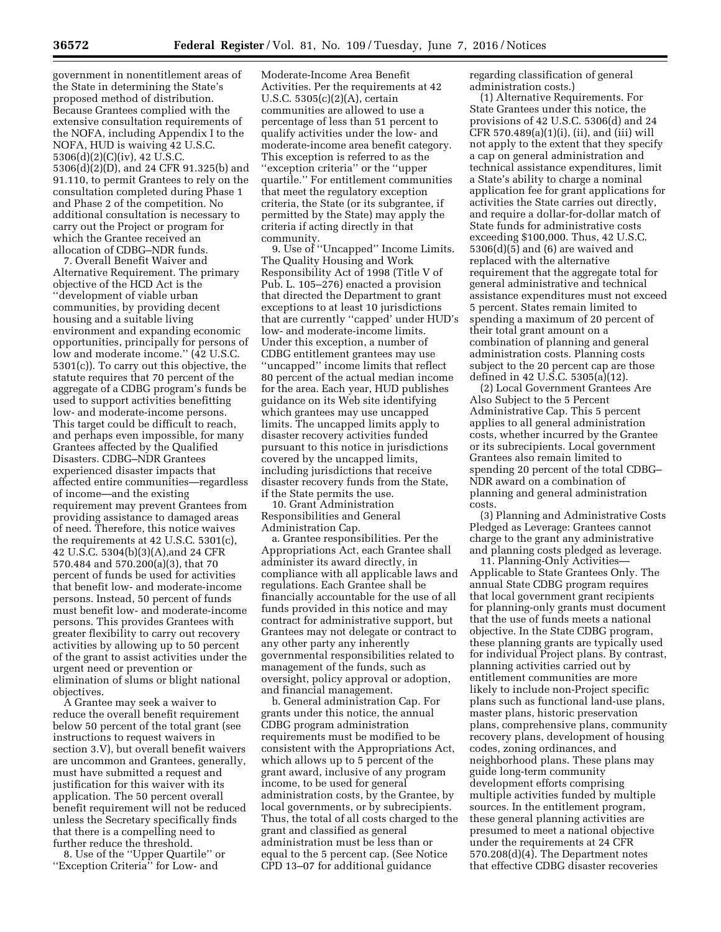government in nonentitlement areas of the State in determining the State's proposed method of distribution. Because Grantees complied with the extensive consultation requirements of the NOFA, including Appendix I to the NOFA, HUD is waiving 42 U.S.C. 5306(d)(2)(C)(iv), 42 U.S.C. 5306(d)(2)(D), and 24 CFR 91.325(b) and 91.110, to permit Grantees to rely on the consultation completed during Phase 1 and Phase 2 of the competition. No additional consultation is necessary to carry out the Project or program for which the Grantee received an allocation of CDBG–NDR funds.

7. Overall Benefit Waiver and Alternative Requirement. The primary objective of the HCD Act is the ''development of viable urban communities, by providing decent housing and a suitable living environment and expanding economic opportunities, principally for persons of low and moderate income.'' (42 U.S.C. 5301(c)). To carry out this objective, the statute requires that 70 percent of the aggregate of a CDBG program's funds be used to support activities benefitting low- and moderate-income persons. This target could be difficult to reach, and perhaps even impossible, for many Grantees affected by the Qualified Disasters. CDBG–NDR Grantees experienced disaster impacts that affected entire communities—regardless of income—and the existing requirement may prevent Grantees from providing assistance to damaged areas of need. Therefore, this notice waives the requirements at 42 U.S.C. 5301(c), 42 U.S.C. 5304(b)(3)(A),and 24 CFR 570.484 and 570.200(a)(3), that 70 percent of funds be used for activities that benefit low- and moderate-income persons. Instead, 50 percent of funds must benefit low- and moderate-income persons. This provides Grantees with greater flexibility to carry out recovery activities by allowing up to 50 percent of the grant to assist activities under the urgent need or prevention or elimination of slums or blight national objectives.

A Grantee may seek a waiver to reduce the overall benefit requirement below 50 percent of the total grant (see instructions to request waivers in section 3.V), but overall benefit waivers are uncommon and Grantees, generally, must have submitted a request and justification for this waiver with its application. The 50 percent overall benefit requirement will not be reduced unless the Secretary specifically finds that there is a compelling need to further reduce the threshold.

8. Use of the ''Upper Quartile'' or ''Exception Criteria'' for Low- and

Moderate-Income Area Benefit Activities. Per the requirements at 42 U.S.C. 5305(c)(2)(A), certain communities are allowed to use a percentage of less than 51 percent to qualify activities under the low- and moderate-income area benefit category. This exception is referred to as the ''exception criteria'' or the ''upper quartile.'' For entitlement communities that meet the regulatory exception criteria, the State (or its subgrantee, if permitted by the State) may apply the criteria if acting directly in that community.

9. Use of ''Uncapped'' Income Limits. The Quality Housing and Work Responsibility Act of 1998 (Title V of Pub. L. 105–276) enacted a provision that directed the Department to grant exceptions to at least 10 jurisdictions that are currently ''capped' under HUD's low- and moderate-income limits. Under this exception, a number of CDBG entitlement grantees may use ''uncapped'' income limits that reflect 80 percent of the actual median income for the area. Each year, HUD publishes guidance on its Web site identifying which grantees may use uncapped limits. The uncapped limits apply to disaster recovery activities funded pursuant to this notice in jurisdictions covered by the uncapped limits, including jurisdictions that receive disaster recovery funds from the State, if the State permits the use.

10. Grant Administration Responsibilities and General Administration Cap.

a. Grantee responsibilities. Per the Appropriations Act, each Grantee shall administer its award directly, in compliance with all applicable laws and regulations. Each Grantee shall be financially accountable for the use of all funds provided in this notice and may contract for administrative support, but Grantees may not delegate or contract to any other party any inherently governmental responsibilities related to management of the funds, such as oversight, policy approval or adoption, and financial management.

b. General administration Cap. For grants under this notice, the annual CDBG program administration requirements must be modified to be consistent with the Appropriations Act, which allows up to 5 percent of the grant award, inclusive of any program income, to be used for general administration costs, by the Grantee, by local governments, or by subrecipients. Thus, the total of all costs charged to the grant and classified as general administration must be less than or equal to the 5 percent cap. (See Notice CPD 13–07 for additional guidance

regarding classification of general administration costs.)

(1) Alternative Requirements. For State Grantees under this notice, the provisions of 42 U.S.C. 5306(d) and 24 CFR  $570.489(a)(1)(i)$ , (ii), and (iii) will not apply to the extent that they specify a cap on general administration and technical assistance expenditures, limit a State's ability to charge a nominal application fee for grant applications for activities the State carries out directly, and require a dollar-for-dollar match of State funds for administrative costs exceeding \$100,000. Thus, 42 U.S.C. 5306(d)(5) and (6) are waived and replaced with the alternative requirement that the aggregate total for general administrative and technical assistance expenditures must not exceed 5 percent. States remain limited to spending a maximum of 20 percent of their total grant amount on a combination of planning and general administration costs. Planning costs subject to the 20 percent cap are those defined in 42 U.S.C. 5305(a)(12).

(2) Local Government Grantees Are Also Subject to the 5 Percent Administrative Cap. This 5 percent applies to all general administration costs, whether incurred by the Grantee or its subrecipients. Local government Grantees also remain limited to spending 20 percent of the total CDBG– NDR award on a combination of planning and general administration costs.

(3) Planning and Administrative Costs Pledged as Leverage: Grantees cannot charge to the grant any administrative and planning costs pledged as leverage.

11. Planning-Only Activities— Applicable to State Grantees Only. The annual State CDBG program requires that local government grant recipients for planning-only grants must document that the use of funds meets a national objective. In the State CDBG program, these planning grants are typically used for individual Project plans. By contrast, planning activities carried out by entitlement communities are more likely to include non-Project specific plans such as functional land-use plans, master plans, historic preservation plans, comprehensive plans, community recovery plans, development of housing codes, zoning ordinances, and neighborhood plans. These plans may guide long-term community development efforts comprising multiple activities funded by multiple sources. In the entitlement program, these general planning activities are presumed to meet a national objective under the requirements at 24 CFR 570.208(d)(4). The Department notes that effective CDBG disaster recoveries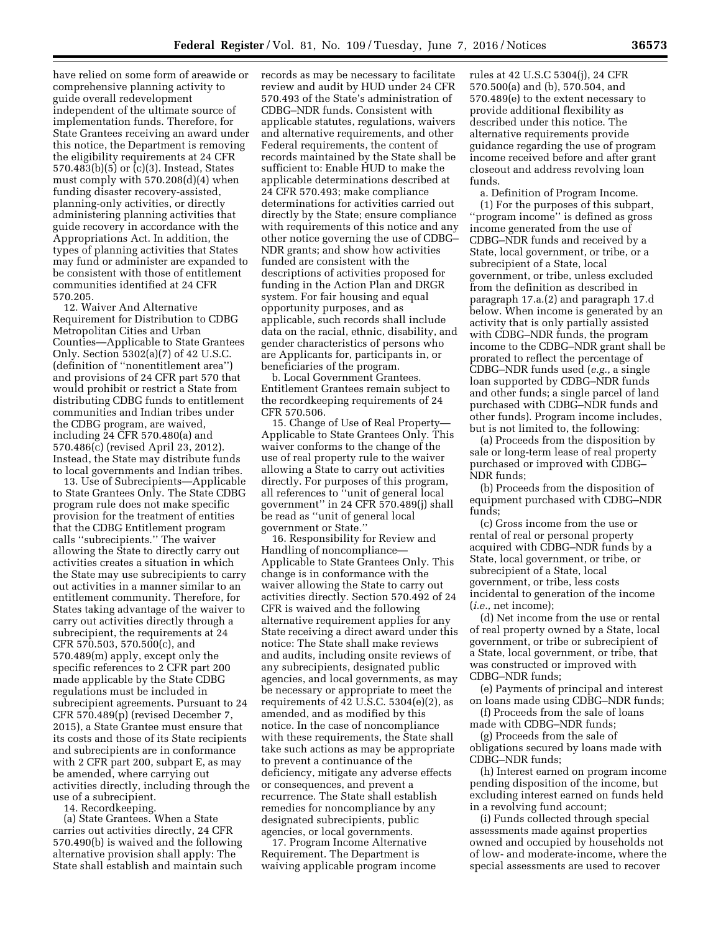have relied on some form of areawide or comprehensive planning activity to guide overall redevelopment independent of the ultimate source of implementation funds. Therefore, for State Grantees receiving an award under this notice, the Department is removing the eligibility requirements at 24 CFR 570.483(b)(5) or (c)(3). Instead, States must comply with 570.208(d)(4) when funding disaster recovery-assisted, planning-only activities, or directly administering planning activities that guide recovery in accordance with the Appropriations Act. In addition, the types of planning activities that States may fund or administer are expanded to be consistent with those of entitlement communities identified at 24 CFR 570.205.

12. Waiver And Alternative Requirement for Distribution to CDBG Metropolitan Cities and Urban Counties—Applicable to State Grantees Only. Section 5302(a)(7) of 42 U.S.C. (definition of ''nonentitlement area'') and provisions of 24 CFR part 570 that would prohibit or restrict a State from distributing CDBG funds to entitlement communities and Indian tribes under the CDBG program, are waived, including 24 CFR 570.480(a) and 570.486(c) (revised April 23, 2012). Instead, the State may distribute funds to local governments and Indian tribes.

13. Use of Subrecipients—Applicable to State Grantees Only. The State CDBG program rule does not make specific provision for the treatment of entities that the CDBG Entitlement program calls ''subrecipients.'' The waiver allowing the State to directly carry out activities creates a situation in which the State may use subrecipients to carry out activities in a manner similar to an entitlement community. Therefore, for States taking advantage of the waiver to carry out activities directly through a subrecipient, the requirements at 24 CFR 570.503, 570.500(c), and 570.489(m) apply, except only the specific references to 2 CFR part 200 made applicable by the State CDBG regulations must be included in subrecipient agreements. Pursuant to 24 CFR 570.489(p) (revised December 7, 2015), a State Grantee must ensure that its costs and those of its State recipients and subrecipients are in conformance with 2 CFR part 200, subpart E, as may be amended, where carrying out activities directly, including through the use of a subrecipient.

14. Recordkeeping.

(a) State Grantees. When a State carries out activities directly, 24 CFR 570.490(b) is waived and the following alternative provision shall apply: The State shall establish and maintain such records as may be necessary to facilitate review and audit by HUD under 24 CFR 570.493 of the State's administration of CDBG–NDR funds. Consistent with applicable statutes, regulations, waivers and alternative requirements, and other Federal requirements, the content of records maintained by the State shall be sufficient to: Enable HUD to make the applicable determinations described at 24 CFR 570.493; make compliance determinations for activities carried out directly by the State; ensure compliance with requirements of this notice and any other notice governing the use of CDBG– NDR grants; and show how activities funded are consistent with the descriptions of activities proposed for funding in the Action Plan and DRGR system. For fair housing and equal opportunity purposes, and as applicable, such records shall include data on the racial, ethnic, disability, and gender characteristics of persons who are Applicants for, participants in, or beneficiaries of the program.

b. Local Government Grantees. Entitlement Grantees remain subject to the recordkeeping requirements of 24 CFR 570.506.

15. Change of Use of Real Property— Applicable to State Grantees Only. This waiver conforms to the change of the use of real property rule to the waiver allowing a State to carry out activities directly. For purposes of this program, all references to ''unit of general local government'' in 24 CFR 570.489(j) shall be read as ''unit of general local government or State.''

16. Responsibility for Review and Handling of noncompliance— Applicable to State Grantees Only. This change is in conformance with the waiver allowing the State to carry out activities directly. Section 570.492 of 24 CFR is waived and the following alternative requirement applies for any State receiving a direct award under this notice: The State shall make reviews and audits, including onsite reviews of any subrecipients, designated public agencies, and local governments, as may be necessary or appropriate to meet the requirements of 42 U.S.C.  $5304(e)(2)$ , as amended, and as modified by this notice. In the case of noncompliance with these requirements, the State shall take such actions as may be appropriate to prevent a continuance of the deficiency, mitigate any adverse effects or consequences, and prevent a recurrence. The State shall establish remedies for noncompliance by any designated subrecipients, public agencies, or local governments.

17. Program Income Alternative Requirement. The Department is waiving applicable program income rules at 42 U.S.C 5304(j), 24 CFR 570.500(a) and (b), 570.504, and 570.489(e) to the extent necessary to provide additional flexibility as described under this notice. The alternative requirements provide guidance regarding the use of program income received before and after grant closeout and address revolving loan funds.

a. Definition of Program Income.

(1) For the purposes of this subpart, ''program income'' is defined as gross income generated from the use of CDBG–NDR funds and received by a State, local government, or tribe, or a subrecipient of a State, local government, or tribe, unless excluded from the definition as described in paragraph 17.a.(2) and paragraph 17.d below. When income is generated by an activity that is only partially assisted with CDBG–NDR funds, the program income to the CDBG–NDR grant shall be prorated to reflect the percentage of CDBG–NDR funds used (*e.g.,* a single loan supported by CDBG–NDR funds and other funds; a single parcel of land purchased with CDBG–NDR funds and other funds). Program income includes, but is not limited to, the following:

(a) Proceeds from the disposition by sale or long-term lease of real property purchased or improved with CDBG– NDR funds;

(b) Proceeds from the disposition of equipment purchased with CDBG–NDR funds;

(c) Gross income from the use or rental of real or personal property acquired with CDBG–NDR funds by a State, local government, or tribe, or subrecipient of a State, local government, or tribe, less costs incidental to generation of the income (*i.e.,* net income);

(d) Net income from the use or rental of real property owned by a State, local government, or tribe or subrecipient of a State, local government, or tribe, that was constructed or improved with CDBG–NDR funds;

(e) Payments of principal and interest on loans made using CDBG–NDR funds;

(f) Proceeds from the sale of loans made with CDBG–NDR funds;

(g) Proceeds from the sale of obligations secured by loans made with CDBG–NDR funds;

(h) Interest earned on program income pending disposition of the income, but excluding interest earned on funds held in a revolving fund account;

(i) Funds collected through special assessments made against properties owned and occupied by households not of low- and moderate-income, where the special assessments are used to recover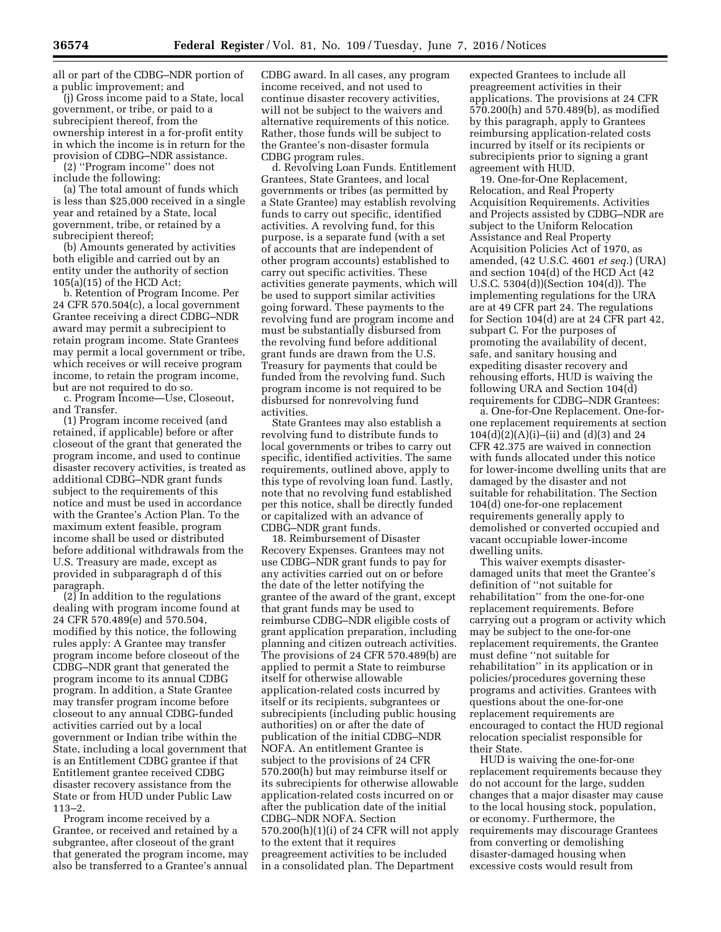all or part of the CDBG–NDR portion of a public improvement; and

(j) Gross income paid to a State, local government, or tribe, or paid to a subrecipient thereof, from the ownership interest in a for-profit entity in which the income is in return for the provision of CDBG–NDR assistance.

(2) ''Program income'' does not include the following:

(a) The total amount of funds which is less than \$25,000 received in a single year and retained by a State, local government, tribe, or retained by a subrecipient thereof;

(b) Amounts generated by activities both eligible and carried out by an entity under the authority of section 105(a)(15) of the HCD Act;

b. Retention of Program Income. Per 24 CFR 570.504(c), a local government Grantee receiving a direct CDBG–NDR award may permit a subrecipient to retain program income. State Grantees may permit a local government or tribe, which receives or will receive program income, to retain the program income, but are not required to do so.

c. Program Income—Use, Closeout, and Transfer.

(1) Program income received (and retained, if applicable) before or after closeout of the grant that generated the program income, and used to continue disaster recovery activities, is treated as additional CDBG–NDR grant funds subject to the requirements of this notice and must be used in accordance with the Grantee's Action Plan. To the maximum extent feasible, program income shall be used or distributed before additional withdrawals from the U.S. Treasury are made, except as provided in subparagraph d of this paragraph.

 $(2)$  In addition to the regulations dealing with program income found at 24 CFR 570.489(e) and 570.504, modified by this notice, the following rules apply: A Grantee may transfer program income before closeout of the CDBG–NDR grant that generated the program income to its annual CDBG program. In addition, a State Grantee may transfer program income before closeout to any annual CDBG-funded activities carried out by a local government or Indian tribe within the State, including a local government that is an Entitlement CDBG grantee if that Entitlement grantee received CDBG disaster recovery assistance from the State or from HUD under Public Law 113–2.

Program income received by a Grantee, or received and retained by a subgrantee, after closeout of the grant that generated the program income, may also be transferred to a Grantee's annual

CDBG award. In all cases, any program income received, and not used to continue disaster recovery activities, will not be subject to the waivers and alternative requirements of this notice. Rather, those funds will be subject to the Grantee's non-disaster formula CDBG program rules.

d. Revolving Loan Funds. Entitlement Grantees, State Grantees, and local governments or tribes (as permitted by a State Grantee) may establish revolving funds to carry out specific, identified activities. A revolving fund, for this purpose, is a separate fund (with a set of accounts that are independent of other program accounts) established to carry out specific activities. These activities generate payments, which will be used to support similar activities going forward. These payments to the revolving fund are program income and must be substantially disbursed from the revolving fund before additional grant funds are drawn from the U.S. Treasury for payments that could be funded from the revolving fund. Such program income is not required to be disbursed for nonrevolving fund activities.

State Grantees may also establish a revolving fund to distribute funds to local governments or tribes to carry out specific, identified activities. The same requirements, outlined above, apply to this type of revolving loan fund. Lastly, note that no revolving fund established per this notice, shall be directly funded or capitalized with an advance of CDBG–NDR grant funds.

18. Reimbursement of Disaster Recovery Expenses. Grantees may not use CDBG–NDR grant funds to pay for any activities carried out on or before the date of the letter notifying the grantee of the award of the grant, except that grant funds may be used to reimburse CDBG–NDR eligible costs of grant application preparation, including planning and citizen outreach activities. The provisions of 24 CFR 570.489(b) are applied to permit a State to reimburse itself for otherwise allowable application-related costs incurred by itself or its recipients, subgrantees or subrecipients (including public housing authorities) on or after the date of publication of the initial CDBG–NDR NOFA. An entitlement Grantee is subject to the provisions of 24 CFR 570.200(h) but may reimburse itself or its subrecipients for otherwise allowable application-related costs incurred on or after the publication date of the initial CDBG–NDR NOFA. Section 570.200(h)(1)(i) of 24 CFR will not apply to the extent that it requires preagreement activities to be included in a consolidated plan. The Department

expected Grantees to include all preagreement activities in their applications. The provisions at 24 CFR 570.200(h) and 570.489(b), as modified by this paragraph, apply to Grantees reimbursing application-related costs incurred by itself or its recipients or subrecipients prior to signing a grant agreement with HUD.

19. One-for-One Replacement, Relocation, and Real Property Acquisition Requirements. Activities and Projects assisted by CDBG–NDR are subject to the Uniform Relocation Assistance and Real Property Acquisition Policies Act of 1970, as amended, (42 U.S.C. 4601 *et seq.*) (URA) and section 104(d) of the HCD Act (42 U.S.C. 5304(d))(Section 104(d)). The implementing regulations for the URA are at 49 CFR part 24. The regulations for Section 104(d) are at 24 CFR part 42, subpart C. For the purposes of promoting the availability of decent, safe, and sanitary housing and expediting disaster recovery and rehousing efforts, HUD is waiving the following URA and Section 104(d) requirements for CDBG–NDR Grantees:

a. One-for-One Replacement. One-forone replacement requirements at section  $104(d)(2)(A)(i)$ –(ii) and (d)(3) and 24 CFR 42.375 are waived in connection with funds allocated under this notice for lower-income dwelling units that are damaged by the disaster and not suitable for rehabilitation. The Section 104(d) one-for-one replacement requirements generally apply to demolished or converted occupied and vacant occupiable lower-income dwelling units.

This waiver exempts disasterdamaged units that meet the Grantee's definition of ''not suitable for rehabilitation'' from the one-for-one replacement requirements. Before carrying out a program or activity which may be subject to the one-for-one replacement requirements, the Grantee must define ''not suitable for rehabilitation'' in its application or in policies/procedures governing these programs and activities. Grantees with questions about the one-for-one replacement requirements are encouraged to contact the HUD regional relocation specialist responsible for their State.

HUD is waiving the one-for-one replacement requirements because they do not account for the large, sudden changes that a major disaster may cause to the local housing stock, population, or economy. Furthermore, the requirements may discourage Grantees from converting or demolishing disaster-damaged housing when excessive costs would result from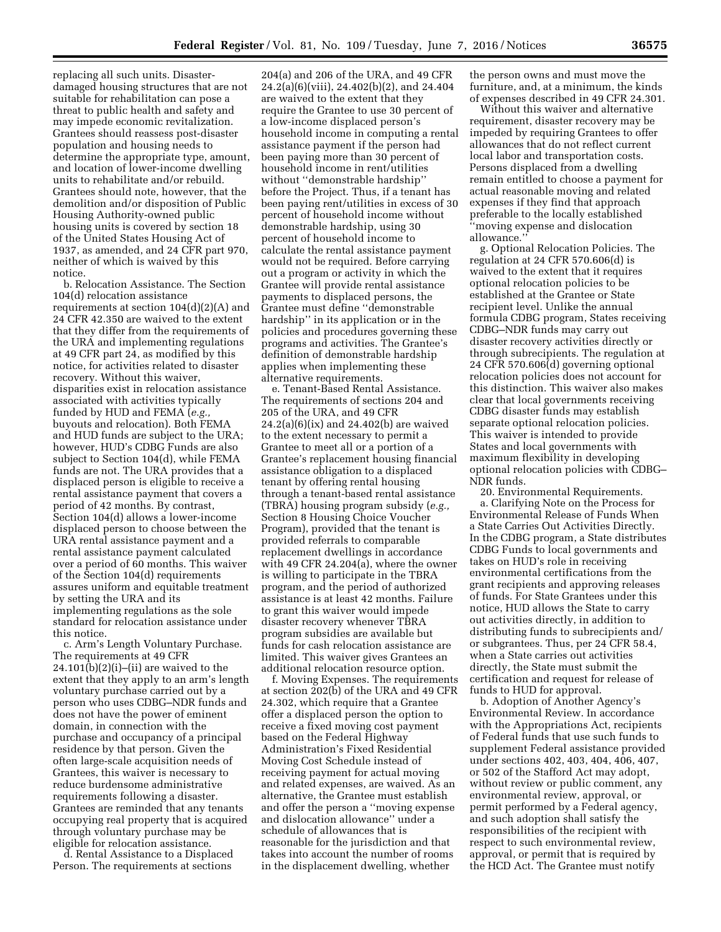replacing all such units. Disasterdamaged housing structures that are not suitable for rehabilitation can pose a threat to public health and safety and may impede economic revitalization. Grantees should reassess post-disaster population and housing needs to determine the appropriate type, amount, and location of lower-income dwelling units to rehabilitate and/or rebuild. Grantees should note, however, that the demolition and/or disposition of Public Housing Authority-owned public housing units is covered by section 18 of the United States Housing Act of 1937, as amended, and 24 CFR part 970, neither of which is waived by this notice.

b. Relocation Assistance. The Section 104(d) relocation assistance requirements at section 104(d)(2)(A) and 24 CFR 42.350 are waived to the extent that they differ from the requirements of the URA and implementing regulations at 49 CFR part 24, as modified by this notice, for activities related to disaster recovery. Without this waiver, disparities exist in relocation assistance associated with activities typically funded by HUD and FEMA (*e.g.,*  buyouts and relocation). Both FEMA and HUD funds are subject to the URA; however, HUD's CDBG Funds are also subject to Section 104(d), while FEMA funds are not. The URA provides that a displaced person is eligible to receive a rental assistance payment that covers a period of 42 months. By contrast, Section 104(d) allows a lower-income displaced person to choose between the URA rental assistance payment and a rental assistance payment calculated over a period of 60 months. This waiver of the Section 104(d) requirements assures uniform and equitable treatment by setting the URA and its implementing regulations as the sole standard for relocation assistance under this notice.

c. Arm's Length Voluntary Purchase. The requirements at 49 CFR  $24.101(b)(2)(i)$ –(ii) are waived to the extent that they apply to an arm's length voluntary purchase carried out by a person who uses CDBG–NDR funds and does not have the power of eminent domain, in connection with the purchase and occupancy of a principal residence by that person. Given the often large-scale acquisition needs of Grantees, this waiver is necessary to reduce burdensome administrative requirements following a disaster. Grantees are reminded that any tenants occupying real property that is acquired through voluntary purchase may be eligible for relocation assistance.

d. Rental Assistance to a Displaced Person. The requirements at sections

204(a) and 206 of the URA, and 49 CFR 24.2(a)(6)(viii), 24.402(b)(2), and 24.404 are waived to the extent that they require the Grantee to use 30 percent of a low-income displaced person's household income in computing a rental assistance payment if the person had been paying more than 30 percent of household income in rent/utilities without ''demonstrable hardship'' before the Project. Thus, if a tenant has been paying rent/utilities in excess of 30 percent of household income without demonstrable hardship, using 30 percent of household income to calculate the rental assistance payment would not be required. Before carrying out a program or activity in which the Grantee will provide rental assistance payments to displaced persons, the Grantee must define ''demonstrable hardship'' in its application or in the policies and procedures governing these programs and activities. The Grantee's definition of demonstrable hardship applies when implementing these alternative requirements.

e. Tenant-Based Rental Assistance. The requirements of sections 204 and 205 of the URA, and 49 CFR  $24.2(a)(6)(ix)$  and  $24.402(b)$  are waived to the extent necessary to permit a Grantee to meet all or a portion of a Grantee's replacement housing financial assistance obligation to a displaced tenant by offering rental housing through a tenant-based rental assistance (TBRA) housing program subsidy (*e.g.,*  Section 8 Housing Choice Voucher Program), provided that the tenant is provided referrals to comparable replacement dwellings in accordance with 49 CFR 24.204(a), where the owner is willing to participate in the TBRA program, and the period of authorized assistance is at least 42 months. Failure to grant this waiver would impede disaster recovery whenever TBRA program subsidies are available but funds for cash relocation assistance are limited. This waiver gives Grantees an additional relocation resource option.

f. Moving Expenses. The requirements at section 202(b) of the URA and 49 CFR 24.302, which require that a Grantee offer a displaced person the option to receive a fixed moving cost payment based on the Federal Highway Administration's Fixed Residential Moving Cost Schedule instead of receiving payment for actual moving and related expenses, are waived. As an alternative, the Grantee must establish and offer the person a ''moving expense and dislocation allowance'' under a schedule of allowances that is reasonable for the jurisdiction and that takes into account the number of rooms in the displacement dwelling, whether

the person owns and must move the furniture, and, at a minimum, the kinds of expenses described in 49 CFR 24.301.

Without this waiver and alternative requirement, disaster recovery may be impeded by requiring Grantees to offer allowances that do not reflect current local labor and transportation costs. Persons displaced from a dwelling remain entitled to choose a payment for actual reasonable moving and related expenses if they find that approach preferable to the locally established ''moving expense and dislocation allowance.''

g. Optional Relocation Policies. The regulation at 24 CFR 570.606(d) is waived to the extent that it requires optional relocation policies to be established at the Grantee or State recipient level. Unlike the annual formula CDBG program, States receiving CDBG–NDR funds may carry out disaster recovery activities directly or through subrecipients. The regulation at 24 CFR 570.606(d) governing optional relocation policies does not account for this distinction. This waiver also makes clear that local governments receiving CDBG disaster funds may establish separate optional relocation policies. This waiver is intended to provide States and local governments with maximum flexibility in developing optional relocation policies with CDBG– NDR funds.

20. Environmental Requirements. a. Clarifying Note on the Process for Environmental Release of Funds When a State Carries Out Activities Directly. In the CDBG program, a State distributes CDBG Funds to local governments and takes on HUD's role in receiving environmental certifications from the grant recipients and approving releases of funds. For State Grantees under this notice, HUD allows the State to carry out activities directly, in addition to distributing funds to subrecipients and/ or subgrantees. Thus, per 24 CFR 58.4, when a State carries out activities directly, the State must submit the certification and request for release of funds to HUD for approval.

b. Adoption of Another Agency's Environmental Review. In accordance with the Appropriations Act, recipients of Federal funds that use such funds to supplement Federal assistance provided under sections 402, 403, 404, 406, 407, or 502 of the Stafford Act may adopt, without review or public comment, any environmental review, approval, or permit performed by a Federal agency, and such adoption shall satisfy the responsibilities of the recipient with respect to such environmental review, approval, or permit that is required by the HCD Act. The Grantee must notify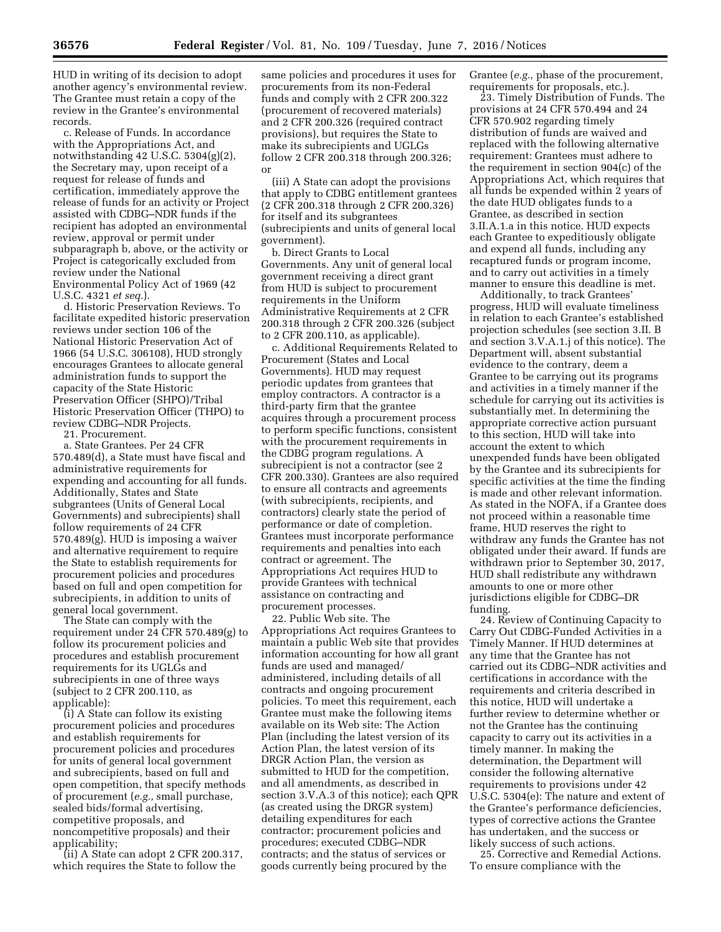HUD in writing of its decision to adopt another agency's environmental review. The Grantee must retain a copy of the review in the Grantee's environmental records.

c. Release of Funds. In accordance with the Appropriations Act, and notwithstanding 42 U.S.C. 5304(g)(2), the Secretary may, upon receipt of a request for release of funds and certification, immediately approve the release of funds for an activity or Project assisted with CDBG–NDR funds if the recipient has adopted an environmental review, approval or permit under subparagraph b, above, or the activity or Project is categorically excluded from review under the National Environmental Policy Act of 1969 (42 U.S.C. 4321 *et seq.*).

d. Historic Preservation Reviews. To facilitate expedited historic preservation reviews under section 106 of the National Historic Preservation Act of 1966 (54 U.S.C. 306108), HUD strongly encourages Grantees to allocate general administration funds to support the capacity of the State Historic Preservation Officer (SHPO)/Tribal Historic Preservation Officer (THPO) to review CDBG–NDR Projects.

21. Procurement.

a. State Grantees. Per 24 CFR 570.489(d), a State must have fiscal and administrative requirements for expending and accounting for all funds. Additionally, States and State subgrantees (Units of General Local Governments) and subrecipients) shall follow requirements of 24 CFR 570.489(g). HUD is imposing a waiver and alternative requirement to require the State to establish requirements for procurement policies and procedures based on full and open competition for subrecipients, in addition to units of general local government.

The State can comply with the requirement under 24 CFR 570.489(g) to follow its procurement policies and procedures and establish procurement requirements for its UGLGs and subrecipients in one of three ways (subject to 2 CFR 200.110, as applicable):

(i) A State can follow its existing procurement policies and procedures and establish requirements for procurement policies and procedures for units of general local government and subrecipients, based on full and open competition, that specify methods of procurement (*e.g.,* small purchase, sealed bids/formal advertising, competitive proposals, and noncompetitive proposals) and their applicability;

(ii) A State can adopt 2 CFR 200.317, which requires the State to follow the

same policies and procedures it uses for procurements from its non-Federal funds and comply with 2 CFR 200.322 (procurement of recovered materials) and 2 CFR 200.326 (required contract provisions), but requires the State to make its subrecipients and UGLGs follow 2 CFR 200.318 through 200.326; or

(iii) A State can adopt the provisions that apply to CDBG entitlement grantees (2 CFR 200.318 through 2 CFR 200.326) for itself and its subgrantees (subrecipients and units of general local government).

b. Direct Grants to Local Governments. Any unit of general local government receiving a direct grant from HUD is subject to procurement requirements in the Uniform Administrative Requirements at 2 CFR 200.318 through 2 CFR 200.326 (subject to 2 CFR 200.110, as applicable).

c. Additional Requirements Related to Procurement (States and Local Governments). HUD may request periodic updates from grantees that employ contractors. A contractor is a third-party firm that the grantee acquires through a procurement process to perform specific functions, consistent with the procurement requirements in the CDBG program regulations. A subrecipient is not a contractor (see 2 CFR 200.330). Grantees are also required to ensure all contracts and agreements (with subrecipients, recipients, and contractors) clearly state the period of performance or date of completion. Grantees must incorporate performance requirements and penalties into each contract or agreement. The Appropriations Act requires HUD to provide Grantees with technical assistance on contracting and procurement processes.

22. Public Web site. The Appropriations Act requires Grantees to maintain a public Web site that provides information accounting for how all grant funds are used and managed/ administered, including details of all contracts and ongoing procurement policies. To meet this requirement, each Grantee must make the following items available on its Web site: The Action Plan (including the latest version of its Action Plan, the latest version of its DRGR Action Plan, the version as submitted to HUD for the competition, and all amendments, as described in section 3.V.A.3 of this notice); each QPR (as created using the DRGR system) detailing expenditures for each contractor; procurement policies and procedures; executed CDBG–NDR contracts; and the status of services or goods currently being procured by the

Grantee (*e.g.,* phase of the procurement, requirements for proposals, etc.).

23. Timely Distribution of Funds. The provisions at 24 CFR 570.494 and 24 CFR 570.902 regarding timely distribution of funds are waived and replaced with the following alternative requirement: Grantees must adhere to the requirement in section 904(c) of the Appropriations Act, which requires that all funds be expended within 2 years of the date HUD obligates funds to a Grantee, as described in section 3.II.A.1.a in this notice. HUD expects each Grantee to expeditiously obligate and expend all funds, including any recaptured funds or program income, and to carry out activities in a timely manner to ensure this deadline is met.

Additionally, to track Grantees' progress, HUD will evaluate timeliness in relation to each Grantee's established projection schedules (see section 3.II. B and section 3.V.A.1.j of this notice). The Department will, absent substantial evidence to the contrary, deem a Grantee to be carrying out its programs and activities in a timely manner if the schedule for carrying out its activities is substantially met. In determining the appropriate corrective action pursuant to this section, HUD will take into account the extent to which unexpended funds have been obligated by the Grantee and its subrecipients for specific activities at the time the finding is made and other relevant information. As stated in the NOFA, if a Grantee does not proceed within a reasonable time frame, HUD reserves the right to withdraw any funds the Grantee has not obligated under their award. If funds are withdrawn prior to September 30, 2017, HUD shall redistribute any withdrawn amounts to one or more other jurisdictions eligible for CDBG–DR funding.

24. Review of Continuing Capacity to Carry Out CDBG-Funded Activities in a Timely Manner. If HUD determines at any time that the Grantee has not carried out its CDBG–NDR activities and certifications in accordance with the requirements and criteria described in this notice, HUD will undertake a further review to determine whether or not the Grantee has the continuing capacity to carry out its activities in a timely manner. In making the determination, the Department will consider the following alternative requirements to provisions under 42 U.S.C. 5304(e): The nature and extent of the Grantee's performance deficiencies, types of corrective actions the Grantee has undertaken, and the success or likely success of such actions.

25. Corrective and Remedial Actions. To ensure compliance with the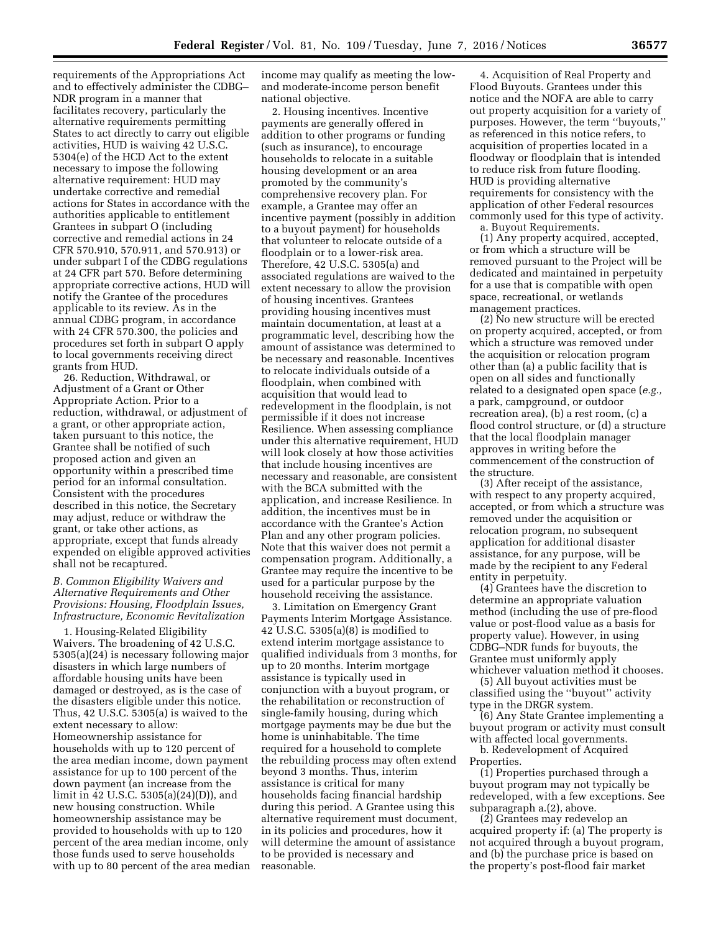requirements of the Appropriations Act and to effectively administer the CDBG– NDR program in a manner that facilitates recovery, particularly the alternative requirements permitting States to act directly to carry out eligible activities, HUD is waiving 42 U.S.C. 5304(e) of the HCD Act to the extent necessary to impose the following alternative requirement: HUD may undertake corrective and remedial actions for States in accordance with the authorities applicable to entitlement Grantees in subpart O (including corrective and remedial actions in 24 CFR 570.910, 570.911, and 570.913) or under subpart I of the CDBG regulations at 24 CFR part 570. Before determining appropriate corrective actions, HUD will notify the Grantee of the procedures applicable to its review. As in the annual CDBG program, in accordance with 24 CFR 570.300, the policies and procedures set forth in subpart O apply to local governments receiving direct grants from HUD.

26. Reduction, Withdrawal, or Adjustment of a Grant or Other Appropriate Action. Prior to a reduction, withdrawal, or adjustment of a grant, or other appropriate action, taken pursuant to this notice, the Grantee shall be notified of such proposed action and given an opportunity within a prescribed time period for an informal consultation. Consistent with the procedures described in this notice, the Secretary may adjust, reduce or withdraw the grant, or take other actions, as appropriate, except that funds already expended on eligible approved activities shall not be recaptured.

# *B. Common Eligibility Waivers and Alternative Requirements and Other Provisions: Housing, Floodplain Issues, Infrastructure, Economic Revitalization*

1. Housing-Related Eligibility Waivers. The broadening of 42 U.S.C. 5305(a)(24) is necessary following major disasters in which large numbers of affordable housing units have been damaged or destroyed, as is the case of the disasters eligible under this notice. Thus, 42 U.S.C. 5305(a) is waived to the extent necessary to allow: Homeownership assistance for households with up to 120 percent of the area median income, down payment assistance for up to 100 percent of the down payment (an increase from the limit in 42 U.S.C. 5305(a)(24)(D)), and new housing construction. While homeownership assistance may be provided to households with up to 120 percent of the area median income, only those funds used to serve households with up to 80 percent of the area median income may qualify as meeting the lowand moderate-income person benefit national objective.

2. Housing incentives. Incentive payments are generally offered in addition to other programs or funding (such as insurance), to encourage households to relocate in a suitable housing development or an area promoted by the community's comprehensive recovery plan. For example, a Grantee may offer an incentive payment (possibly in addition to a buyout payment) for households that volunteer to relocate outside of a floodplain or to a lower-risk area. Therefore, 42 U.S.C. 5305(a) and associated regulations are waived to the extent necessary to allow the provision of housing incentives. Grantees providing housing incentives must maintain documentation, at least at a programmatic level, describing how the amount of assistance was determined to be necessary and reasonable. Incentives to relocate individuals outside of a floodplain, when combined with acquisition that would lead to redevelopment in the floodplain, is not permissible if it does not increase Resilience. When assessing compliance under this alternative requirement, HUD will look closely at how those activities that include housing incentives are necessary and reasonable, are consistent with the BCA submitted with the application, and increase Resilience. In addition, the incentives must be in accordance with the Grantee's Action Plan and any other program policies. Note that this waiver does not permit a compensation program. Additionally, a Grantee may require the incentive to be used for a particular purpose by the household receiving the assistance.

3. Limitation on Emergency Grant Payments Interim Mortgage Assistance. 42 U.S.C. 5305(a)(8) is modified to extend interim mortgage assistance to qualified individuals from 3 months, for up to 20 months. Interim mortgage assistance is typically used in conjunction with a buyout program, or the rehabilitation or reconstruction of single-family housing, during which mortgage payments may be due but the home is uninhabitable. The time required for a household to complete the rebuilding process may often extend beyond 3 months. Thus, interim assistance is critical for many households facing financial hardship during this period. A Grantee using this alternative requirement must document, in its policies and procedures, how it will determine the amount of assistance to be provided is necessary and reasonable.

4. Acquisition of Real Property and Flood Buyouts. Grantees under this notice and the NOFA are able to carry out property acquisition for a variety of purposes. However, the term ''buyouts,'' as referenced in this notice refers, to acquisition of properties located in a floodway or floodplain that is intended to reduce risk from future flooding. HUD is providing alternative requirements for consistency with the application of other Federal resources commonly used for this type of activity. a. Buyout Requirements.

(1) Any property acquired, accepted, or from which a structure will be removed pursuant to the Project will be dedicated and maintained in perpetuity for a use that is compatible with open space, recreational, or wetlands management practices.

(2) No new structure will be erected on property acquired, accepted, or from which a structure was removed under the acquisition or relocation program other than (a) a public facility that is open on all sides and functionally related to a designated open space (*e.g.,*  a park, campground, or outdoor recreation area), (b) a rest room, (c) a flood control structure, or (d) a structure that the local floodplain manager approves in writing before the commencement of the construction of the structure.

(3) After receipt of the assistance, with respect to any property acquired, accepted, or from which a structure was removed under the acquisition or relocation program, no subsequent application for additional disaster assistance, for any purpose, will be made by the recipient to any Federal entity in perpetuity.

(4) Grantees have the discretion to determine an appropriate valuation method (including the use of pre-flood value or post-flood value as a basis for property value). However, in using CDBG–NDR funds for buyouts, the Grantee must uniformly apply whichever valuation method it chooses.

(5) All buyout activities must be classified using the ''buyout'' activity type in the DRGR system.

(6) Any State Grantee implementing a buyout program or activity must consult with affected local governments.

b. Redevelopment of Acquired Properties.

(1) Properties purchased through a buyout program may not typically be redeveloped, with a few exceptions. See subparagraph a.(2), above.

(2) Grantees may redevelop an acquired property if: (a) The property is not acquired through a buyout program, and (b) the purchase price is based on the property's post-flood fair market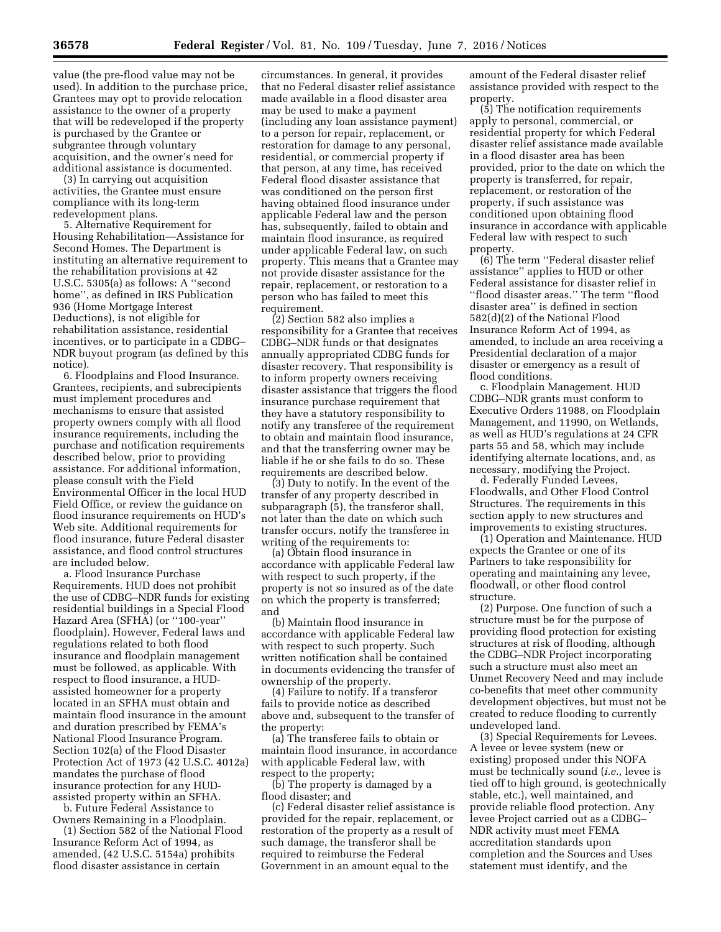value (the pre-flood value may not be used). In addition to the purchase price, Grantees may opt to provide relocation assistance to the owner of a property that will be redeveloped if the property is purchased by the Grantee or subgrantee through voluntary acquisition, and the owner's need for additional assistance is documented.

(3) In carrying out acquisition activities, the Grantee must ensure compliance with its long-term redevelopment plans.

5. Alternative Requirement for Housing Rehabilitation—Assistance for Second Homes. The Department is instituting an alternative requirement to the rehabilitation provisions at 42 U.S.C. 5305(a) as follows: A ''second home'', as defined in IRS Publication 936 (Home Mortgage Interest Deductions), is not eligible for rehabilitation assistance, residential incentives, or to participate in a CDBG– NDR buyout program (as defined by this notice).

6. Floodplains and Flood Insurance. Grantees, recipients, and subrecipients must implement procedures and mechanisms to ensure that assisted property owners comply with all flood insurance requirements, including the purchase and notification requirements described below, prior to providing assistance. For additional information, please consult with the Field Environmental Officer in the local HUD Field Office, or review the guidance on flood insurance requirements on HUD's Web site. Additional requirements for flood insurance, future Federal disaster assistance, and flood control structures are included below.

a. Flood Insurance Purchase Requirements. HUD does not prohibit the use of CDBG–NDR funds for existing residential buildings in a Special Flood Hazard Area (SFHA) (or ''100-year'' floodplain). However, Federal laws and regulations related to both flood insurance and floodplain management must be followed, as applicable. With respect to flood insurance, a HUDassisted homeowner for a property located in an SFHA must obtain and maintain flood insurance in the amount and duration prescribed by FEMA's National Flood Insurance Program. Section 102(a) of the Flood Disaster Protection Act of 1973 (42 U.S.C. 4012a) mandates the purchase of flood insurance protection for any HUDassisted property within an SFHA.

b. Future Federal Assistance to Owners Remaining in a Floodplain.

(1) Section 582 of the National Flood Insurance Reform Act of 1994, as amended, (42 U.S.C. 5154a) prohibits flood disaster assistance in certain

circumstances. In general, it provides that no Federal disaster relief assistance made available in a flood disaster area may be used to make a payment (including any loan assistance payment) to a person for repair, replacement, or restoration for damage to any personal, residential, or commercial property if that person, at any time, has received Federal flood disaster assistance that was conditioned on the person first having obtained flood insurance under applicable Federal law and the person has, subsequently, failed to obtain and maintain flood insurance, as required under applicable Federal law, on such property. This means that a Grantee may not provide disaster assistance for the repair, replacement, or restoration to a person who has failed to meet this requirement.

(2) Section 582 also implies a responsibility for a Grantee that receives CDBG–NDR funds or that designates annually appropriated CDBG funds for disaster recovery. That responsibility is to inform property owners receiving disaster assistance that triggers the flood insurance purchase requirement that they have a statutory responsibility to notify any transferee of the requirement to obtain and maintain flood insurance, and that the transferring owner may be liable if he or she fails to do so. These requirements are described below.

(3) Duty to notify. In the event of the transfer of any property described in subparagraph (5), the transferor shall, not later than the date on which such transfer occurs, notify the transferee in writing of the requirements to:

(a) Obtain flood insurance in accordance with applicable Federal law with respect to such property, if the property is not so insured as of the date on which the property is transferred; and

(b) Maintain flood insurance in accordance with applicable Federal law with respect to such property. Such written notification shall be contained in documents evidencing the transfer of ownership of the property.

(4) Failure to notify. If a transferor fails to provide notice as described above and, subsequent to the transfer of the property:

(a) The transferee fails to obtain or maintain flood insurance, in accordance with applicable Federal law, with respect to the property;

(b) The property is damaged by a flood disaster; and

(c) Federal disaster relief assistance is provided for the repair, replacement, or restoration of the property as a result of such damage, the transferor shall be required to reimburse the Federal Government in an amount equal to the

amount of the Federal disaster relief assistance provided with respect to the property.

(5) The notification requirements apply to personal, commercial, or residential property for which Federal disaster relief assistance made available in a flood disaster area has been provided, prior to the date on which the property is transferred, for repair, replacement, or restoration of the property, if such assistance was conditioned upon obtaining flood insurance in accordance with applicable Federal law with respect to such property.

(6) The term ''Federal disaster relief assistance'' applies to HUD or other Federal assistance for disaster relief in ''flood disaster areas.'' The term ''flood disaster area'' is defined in section 582(d)(2) of the National Flood Insurance Reform Act of 1994, as amended, to include an area receiving a Presidential declaration of a major disaster or emergency as a result of flood conditions.

c. Floodplain Management. HUD CDBG–NDR grants must conform to Executive Orders 11988, on Floodplain Management, and 11990, on Wetlands, as well as HUD's regulations at 24 CFR parts 55 and 58, which may include identifying alternate locations, and, as necessary, modifying the Project.

d. Federally Funded Levees, Floodwalls, and Other Flood Control Structures. The requirements in this section apply to new structures and improvements to existing structures.

(1) Operation and Maintenance. HUD expects the Grantee or one of its Partners to take responsibility for operating and maintaining any levee, floodwall, or other flood control structure.

(2) Purpose. One function of such a structure must be for the purpose of providing flood protection for existing structures at risk of flooding, although the CDBG–NDR Project incorporating such a structure must also meet an Unmet Recovery Need and may include co-benefits that meet other community development objectives, but must not be created to reduce flooding to currently undeveloped land.

(3) Special Requirements for Levees. A levee or levee system (new or existing) proposed under this NOFA must be technically sound (*i.e.,* levee is tied off to high ground, is geotechnically stable, etc.), well maintained, and provide reliable flood protection. Any levee Project carried out as a CDBG– NDR activity must meet FEMA accreditation standards upon completion and the Sources and Uses statement must identify, and the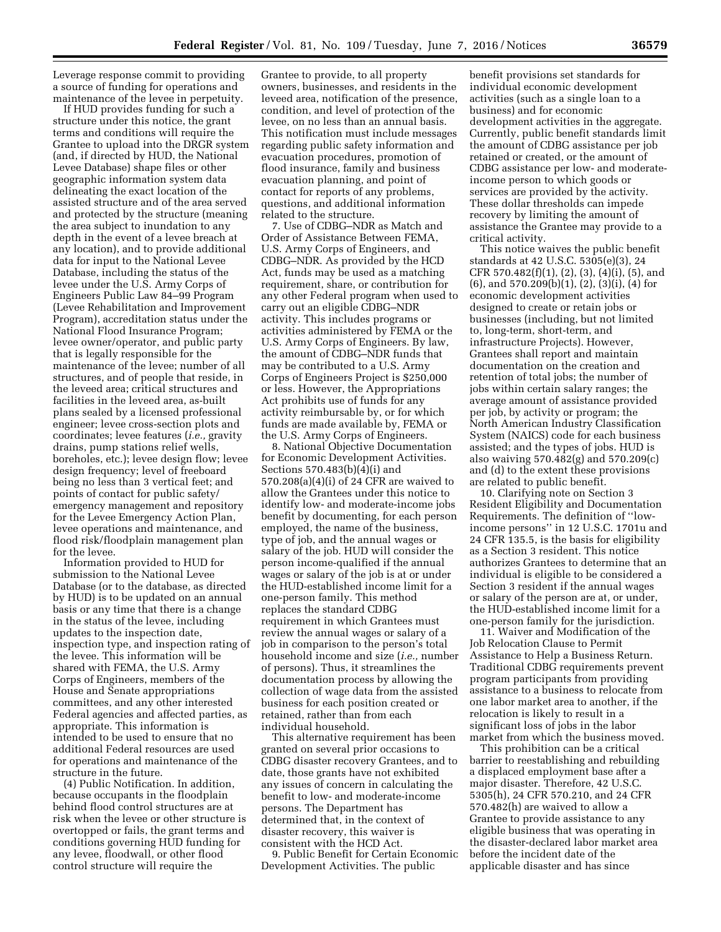Leverage response commit to providing a source of funding for operations and maintenance of the levee in perpetuity.

If HUD provides funding for such a structure under this notice, the grant terms and conditions will require the Grantee to upload into the DRGR system (and, if directed by HUD, the National Levee Database) shape files or other geographic information system data delineating the exact location of the assisted structure and of the area served and protected by the structure (meaning the area subject to inundation to any depth in the event of a levee breach at any location), and to provide additional data for input to the National Levee Database, including the status of the levee under the U.S. Army Corps of Engineers Public Law 84–99 Program (Levee Rehabilitation and Improvement Program), accreditation status under the National Flood Insurance Program; levee owner/operator, and public party that is legally responsible for the maintenance of the levee; number of all structures, and of people that reside, in the leveed area; critical structures and facilities in the leveed area, as-built plans sealed by a licensed professional engineer; levee cross-section plots and coordinates; levee features (*i.e.,* gravity drains, pump stations relief wells, boreholes, etc.); levee design flow; levee design frequency; level of freeboard being no less than 3 vertical feet; and points of contact for public safety/ emergency management and repository for the Levee Emergency Action Plan, levee operations and maintenance, and flood risk/floodplain management plan for the levee.

Information provided to HUD for submission to the National Levee Database (or to the database, as directed by HUD) is to be updated on an annual basis or any time that there is a change in the status of the levee, including updates to the inspection date, inspection type, and inspection rating of the levee. This information will be shared with FEMA, the U.S. Army Corps of Engineers, members of the House and Senate appropriations committees, and any other interested Federal agencies and affected parties, as appropriate. This information is intended to be used to ensure that no additional Federal resources are used for operations and maintenance of the structure in the future.

(4) Public Notification. In addition, because occupants in the floodplain behind flood control structures are at risk when the levee or other structure is overtopped or fails, the grant terms and conditions governing HUD funding for any levee, floodwall, or other flood control structure will require the

Grantee to provide, to all property owners, businesses, and residents in the leveed area, notification of the presence, condition, and level of protection of the levee, on no less than an annual basis. This notification must include messages regarding public safety information and evacuation procedures, promotion of flood insurance, family and business evacuation planning, and point of contact for reports of any problems, questions, and additional information related to the structure.

7. Use of CDBG–NDR as Match and Order of Assistance Between FEMA, U.S. Army Corps of Engineers, and CDBG–NDR. As provided by the HCD Act, funds may be used as a matching requirement, share, or contribution for any other Federal program when used to carry out an eligible CDBG–NDR activity. This includes programs or activities administered by FEMA or the U.S. Army Corps of Engineers. By law, the amount of CDBG–NDR funds that may be contributed to a U.S. Army Corps of Engineers Project is \$250,000 or less. However, the Appropriations Act prohibits use of funds for any activity reimbursable by, or for which funds are made available by, FEMA or the U.S. Army Corps of Engineers.

8. National Objective Documentation for Economic Development Activities. Sections 570.483(b)(4)(i) and 570.208(a)(4)(i) of 24 CFR are waived to allow the Grantees under this notice to identify low- and moderate-income jobs benefit by documenting, for each person employed, the name of the business, type of job, and the annual wages or salary of the job. HUD will consider the person income-qualified if the annual wages or salary of the job is at or under the HUD-established income limit for a one-person family. This method replaces the standard CDBG requirement in which Grantees must review the annual wages or salary of a job in comparison to the person's total household income and size (*i.e.,* number of persons). Thus, it streamlines the documentation process by allowing the collection of wage data from the assisted business for each position created or retained, rather than from each individual household.

This alternative requirement has been granted on several prior occasions to CDBG disaster recovery Grantees, and to date, those grants have not exhibited any issues of concern in calculating the benefit to low- and moderate-income persons. The Department has determined that, in the context of disaster recovery, this waiver is consistent with the HCD Act.

9. Public Benefit for Certain Economic Development Activities. The public

benefit provisions set standards for individual economic development activities (such as a single loan to a business) and for economic development activities in the aggregate. Currently, public benefit standards limit the amount of CDBG assistance per job retained or created, or the amount of CDBG assistance per low- and moderateincome person to which goods or services are provided by the activity. These dollar thresholds can impede recovery by limiting the amount of assistance the Grantee may provide to a critical activity.

This notice waives the public benefit standards at 42 U.S.C. 5305(e)(3), 24 CFR 570.482(f)(1), (2), (3), (4)(i), (5), and (6), and 570.209(b)(1), (2), (3)(i), (4) for economic development activities designed to create or retain jobs or businesses (including, but not limited to, long-term, short-term, and infrastructure Projects). However, Grantees shall report and maintain documentation on the creation and retention of total jobs; the number of jobs within certain salary ranges; the average amount of assistance provided per job, by activity or program; the North American Industry Classification System (NAICS) code for each business assisted; and the types of jobs. HUD is also waiving 570.482(g) and 570.209(c) and (d) to the extent these provisions are related to public benefit.

10. Clarifying note on Section 3 Resident Eligibility and Documentation Requirements. The definition of ''lowincome persons'' in 12 U.S.C. 1701u and 24 CFR 135.5, is the basis for eligibility as a Section 3 resident. This notice authorizes Grantees to determine that an individual is eligible to be considered a Section 3 resident if the annual wages or salary of the person are at, or under, the HUD-established income limit for a one-person family for the jurisdiction.

11. Waiver and Modification of the Job Relocation Clause to Permit Assistance to Help a Business Return. Traditional CDBG requirements prevent program participants from providing assistance to a business to relocate from one labor market area to another, if the relocation is likely to result in a significant loss of jobs in the labor market from which the business moved.

This prohibition can be a critical barrier to reestablishing and rebuilding a displaced employment base after a major disaster. Therefore, 42 U.S.C. 5305(h), 24 CFR 570.210, and 24 CFR 570.482(h) are waived to allow a Grantee to provide assistance to any eligible business that was operating in the disaster-declared labor market area before the incident date of the applicable disaster and has since